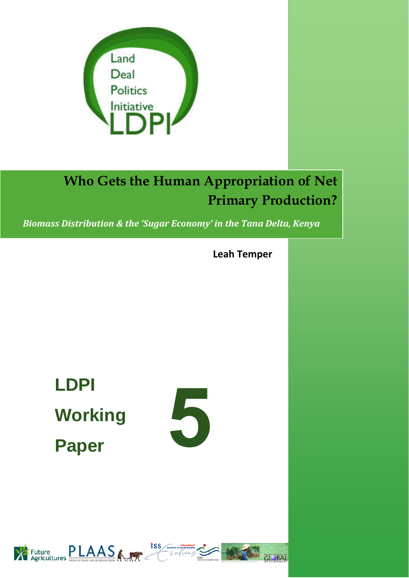

# **Who Gets the Human Appropriation of Net Primary Production?**

*Biomass Distribution & the 'Sugar Economy' in the Tana Delta, Kenya*

**Leah Temper**

**LDPI Working Paper** 





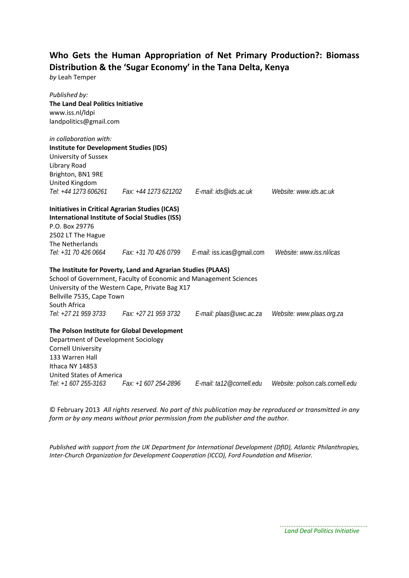# **Who Gets the Human Appropriation of Net Primary Production?: Biomass Distribution & the 'Sugar Economy' in the Tana Delta, Kenya**

*by* Leah Temper

| Published by:<br><b>The Land Deal Politics Initiative</b><br>www.iss.nl/ldpi<br>landpolitics@gmail.com |                                                                   |                                                                      |                                  |
|--------------------------------------------------------------------------------------------------------|-------------------------------------------------------------------|----------------------------------------------------------------------|----------------------------------|
| in collaboration with:                                                                                 |                                                                   |                                                                      |                                  |
| <b>Institute for Development Studies (IDS)</b>                                                         |                                                                   |                                                                      |                                  |
| University of Sussex                                                                                   |                                                                   |                                                                      |                                  |
| Library Road<br>Brighton, BN1 9RE                                                                      |                                                                   |                                                                      |                                  |
| United Kingdom                                                                                         |                                                                   |                                                                      |                                  |
| Tel: +44 1273 606261                                                                                   |                                                                   | Fax: +44 1273 621202    E-mail: ids@ids.ac.uk                        | Website: www.ids.ac.uk           |
| <b>Initiatives in Critical Agrarian Studies (ICAS)</b>                                                 |                                                                   |                                                                      |                                  |
|                                                                                                        | <b>International Institute of Social Studies (ISS)</b>            |                                                                      |                                  |
| P.O. Box 29776                                                                                         |                                                                   |                                                                      |                                  |
| 2502 LT The Hague                                                                                      |                                                                   |                                                                      |                                  |
| The Netherlands                                                                                        |                                                                   |                                                                      |                                  |
|                                                                                                        |                                                                   | Tel: +31 70 426 0664 Fax: +31 70 426 0799 E-mail: iss.icas@gmail.com | Website: www.iss.nl/icas         |
|                                                                                                        | The Institute for Poverty, Land and Agrarian Studies (PLAAS)      |                                                                      |                                  |
|                                                                                                        | School of Government, Faculty of Economic and Management Sciences |                                                                      |                                  |
|                                                                                                        | University of the Western Cape, Private Bag X17                   |                                                                      |                                  |
| Bellville 7535, Cape Town                                                                              |                                                                   |                                                                      |                                  |
| South Africa                                                                                           |                                                                   |                                                                      |                                  |
|                                                                                                        | Tel: +27 21 959 3733 Fax: +27 21 959 3732                         | E-mail: plaas@uwc.ac.za                                              | Website: www.plaas.org.za        |
|                                                                                                        | The Polson Institute for Global Development                       |                                                                      |                                  |
| Department of Development Sociology                                                                    |                                                                   |                                                                      |                                  |
| <b>Cornell University</b>                                                                              |                                                                   |                                                                      |                                  |
| 133 Warren Hall                                                                                        |                                                                   |                                                                      |                                  |
| Ithaca NY 14853                                                                                        |                                                                   |                                                                      |                                  |
| United States of America                                                                               |                                                                   |                                                                      |                                  |
| Tel: +1 607 255-3163                                                                                   | Fax: +1 607 254-2896                                              | E-mail: ta12@cornell.edu                                             | Website: polson.cals.cornell.edu |

© February 2013 *All rights reserved. No part of this publication may be reproduced or transmitted in any form or by any means without prior permission from the publisher and the author.*

*Published with support from the UK Department for International Development (DfID), Atlantic Philanthropies, Inter‐Church Organization for Development Cooperation (ICCO), Ford Foundation and Miserior.*

. . . . . . . . . .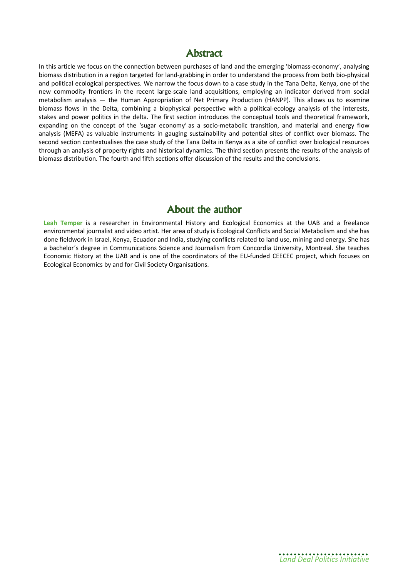## **Abstract**

In this article we focus on the connection between purchases of land and the emerging 'biomass-economy', analysing biomass distribution in a region targeted for land-grabbing in order to understand the process from both bio-physical and political ecological perspectives. We narrow the focus down to a case study in the Tana Delta, Kenya, one of the new commodity frontiers in the recent large-scale land acquisitions, employing an indicator derived from social metabolism analysis — the Human Appropriation of Net Primary Production (HANPP). This allows us to examine biomass flows in the Delta, combining a biophysical perspective with a political-ecology analysis of the interests, stakes and power politics in the delta. The first section introduces the conceptual tools and theoretical framework, expanding on the concept of the 'sugar economy' as a socio-metabolic transition, and material and energy flow analysis (MEFA) as valuable instruments in gauging sustainability and potential sites of conflict over biomass. The second section contextualises the case study of the Tana Delta in Kenya as a site of conflict over biological resources through an analysis of property rights and historical dynamics. The third section presents the results of the analysis of biomass distribution. The fourth and fifth sections offer discussion of the results and the conclusions.

# **About the author**

**Leah Temper** is a researcher in Environmental History and Ecological Economics at the UAB and a freelance environmental journalist and video artist. Her area of study is Ecological Conflicts and Social Metabolism and she has done fieldwork in Israel, Kenya, Ecuador and India, studying conflicts related to land use, mining and energy. She has a bachelor´s degree in Communications Science and Journalism from Concordia University, Montreal. She teaches Economic History at the UAB and is one of the coordinators of the EU-funded CEECEC project, which focuses on Ecological Economics by and for Civil Society Organisations.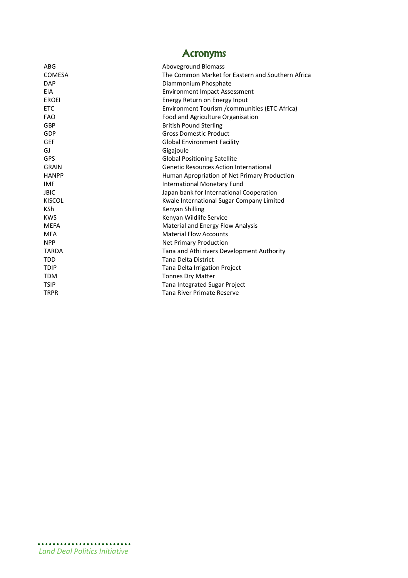| <b>Acronyms</b> |
|-----------------|
|-----------------|

| ABG           | Aboveground Biomass                               |
|---------------|---------------------------------------------------|
| COMESA        | The Common Market for Eastern and Southern Africa |
| <b>DAP</b>    | Diammonium Phosphate                              |
| <b>EIA</b>    | <b>Environment Impact Assessment</b>              |
| <b>EROEI</b>  | Energy Return on Energy Input                     |
| <b>ETC</b>    | Environment Tourism / communities (ETC-Africa)    |
| <b>FAO</b>    | Food and Agriculture Organisation                 |
| GBP           | <b>British Pound Sterling</b>                     |
| GDP           | <b>Gross Domestic Product</b>                     |
| <b>GEF</b>    | <b>Global Environment Facility</b>                |
| GJ            | Gigajoule                                         |
| <b>GPS</b>    | <b>Global Positioning Satellite</b>               |
| <b>GRAIN</b>  | <b>Genetic Resources Action International</b>     |
| <b>HANPP</b>  | Human Apropriation of Net Primary Production      |
| <b>IMF</b>    | <b>International Monetary Fund</b>                |
| <b>JBIC</b>   | Japan bank for International Cooperation          |
| <b>KISCOL</b> | Kwale International Sugar Company Limited         |
| <b>KSh</b>    | Kenyan Shilling                                   |
| <b>KWS</b>    | Kenyan Wildlife Service                           |
| <b>MEFA</b>   | Material and Energy Flow Analysis                 |
| <b>MFA</b>    | <b>Material Flow Accounts</b>                     |
| <b>NPP</b>    | <b>Net Primary Production</b>                     |
| <b>TARDA</b>  | Tana and Athi rivers Development Authority        |
| <b>TDD</b>    | Tana Delta District                               |
| <b>TDIP</b>   | Tana Delta Irrigation Project                     |
| <b>TDM</b>    | <b>Tonnes Dry Matter</b>                          |
| <b>TSIP</b>   | Tana Integrated Sugar Project                     |
| <b>TRPR</b>   | Tana River Primate Reserve                        |
|               |                                                   |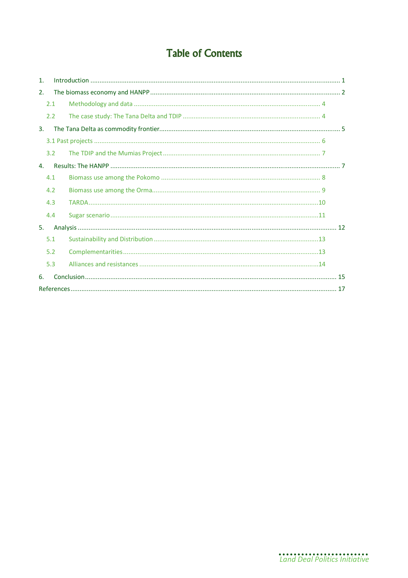# **Table of Contents**

| $\mathbf{1}$ . |     |  |
|----------------|-----|--|
| 2.             |     |  |
|                | 2.1 |  |
|                | 2.2 |  |
| 3.             |     |  |
|                |     |  |
|                | 3.2 |  |
| $\mathbf{4}$ . |     |  |
|                | 4.1 |  |
|                | 4.2 |  |
|                | 4.3 |  |
|                | 4.4 |  |
| 5.             |     |  |
|                | 5.1 |  |
|                | 5.2 |  |
|                | 5.3 |  |
| 6.             |     |  |
|                |     |  |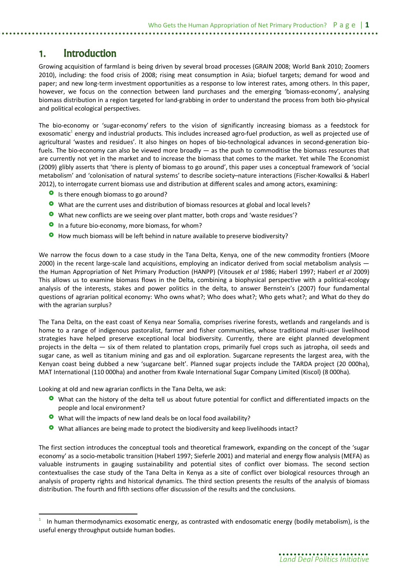## **1. Introduction**

Growing acquisition of farmland is being driven by several broad processes (GRAIN 2008; World Bank 2010; Zoomers 2010), including: the food crisis of 2008; rising meat consumption in Asia; biofuel targets; demand for wood and paper; and new long-term investment opportunities as a response to low interest rates, among others. In this paper, however, we focus on the connection between land purchases and the emerging 'biomass-economy', analysing biomass distribution in a region targeted for land-grabbing in order to understand the process from both bio-physical and political ecological perspectives.

The bio-economy or 'sugar-economy' refers to the vision of significantly increasing biomass as a feedstock for exosomatic<sup>1</sup> energy and industrial products. This includes increased agro-fuel production, as well as projected use of agricultural 'wastes and residues'. It also hinges on hopes of bio-technological advances in second-generation biofuels. The bio-economy can also be viewed more broadly — as the push to commoditise the biomass resources that are currently not yet in the market and to increase the biomass that comes to the market. Yet while The Economist (2009) glibly asserts that 'there is plenty of biomass to go around', this paper uses a conceptual framework of 'social metabolism' and 'colonisation of natural systems' to describe society–nature interactions (Fischer-Kowalksi & Haberl 2012), to interrogate current biomass use and distribution at different scales and among actors, examining:

- **O** Is there enough biomass to go around?
- What are the current uses and distribution of biomass resources at global and local levels?
- What new conflicts are we seeing over plant matter, both crops and 'waste residues'?
- **O** In a future bio-economy, more biomass, for whom?
- **O** How much biomass will be left behind in nature available to preserve biodiversity?

We narrow the focus down to a case study in the Tana Delta, Kenya, one of the new commodity frontiers (Moore 2000) in the recent large-scale land acquisitions, employing an indicator derived from social metabolism analysis the Human Appropriation of Net Primary Production (HANPP) (Vitousek *et al* 1986; Haberl 1997; Haberl *et al* 2009) This allows us to examine biomass flows in the Delta, combining a biophysical perspective with a political-ecology analysis of the interests, stakes and power politics in the delta, to answer Bernstein's (2007) four fundamental questions of agrarian political economy: Who owns what?; Who does what?; Who gets what?; and What do they do with the agrarian surplus?

The Tana Delta, on the east coast of Kenya near Somalia, comprises riverine forests, wetlands and rangelands and is home to a range of indigenous pastoralist, farmer and fisher communities, whose traditional multi-user livelihood strategies have helped preserve exceptional local biodiversity. Currently, there are eight planned development projects in the delta — six of them related to plantation crops, primarily fuel crops such as jatropha, oil seeds and sugar cane, as well as titanium mining and gas and oil exploration. Sugarcane represents the largest area, with the Kenyan coast being dubbed a new 'sugarcane belt'. Planned sugar projects include the TARDA project (20 000ha), MAT International (110 000ha) and another from Kwale International Sugar Company Limited (Kiscol) (8 000ha).

Looking at old and new agrarian conflicts in the Tana Delta, we ask:

 $\overline{a}$ 

- **O** What can the history of the delta tell us about future potential for conflict and differentiated impacts on the people and local environment?
- What will the impacts of new land deals be on local food availability?
- What alliances are being made to protect the biodiversity and keep livelihoods intact?

The first section introduces the conceptual tools and theoretical framework, expanding on the concept of the 'sugar economy' as a socio-metabolic transition (Haberl 1997; Sieferle 2001) and material and energy flow analysis (MEFA) as valuable instruments in gauging sustainability and potential sites of conflict over biomass. The second section contextualises the case study of the Tana Delta in Kenya as a site of conflict over biological resources through an analysis of property rights and historical dynamics. The third section presents the results of the analysis of biomass distribution. The fourth and fifth sections offer discussion of the results and the conclusions.

<sup>1</sup> In human thermodynamics exosomatic energy, as contrasted with endosomatic energy (bodily metabolism), is the useful energy throughput outside human bodies.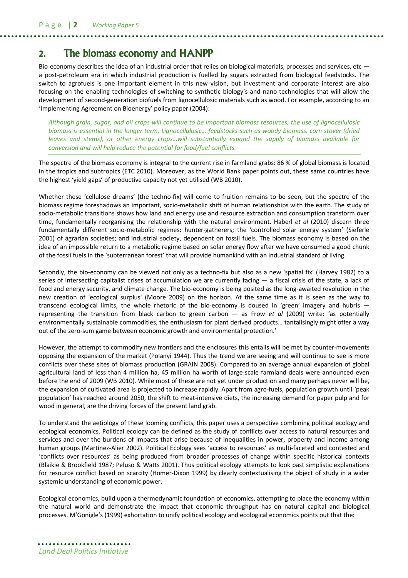# **2. The biomass economy and HANPP**

Bio-economy describes the idea of an industrial order that relies on biological materials, processes and services, etc  $$ a post-petroleum era in which industrial production is fuelled by sugars extracted from biological feedstocks. The switch to agrofuels is one important element in this new vision, but investment and corporate interest are also focusing on the enabling technologies of switching to synthetic biology's and nano-technologies that will allow the development of second-generation biofuels from lignocellulosic materials such as wood. For example, according to an 'Implementing Agreement on Bioenergy' policy paper (2004):

*Although grain, sugar, and oil crops will continue to be important biomass resources, the use of lignocellulosic biomass is essential in the longer term. Lignocellulosic… feedstocks such as woody biomass, corn stover (dried leaves and stems), or other energy crops…will substantially expand the supply of biomass available for conversion and will help reduce the potential for food/fuel conflicts.*

The spectre of the biomass economy is integral to the current rise in farmland grabs: 86 % of global biomass is located in the tropics and subtropics (ETC 2010). Moreover, as the World Bank paper points out, these same countries have the highest 'yield gaps' of productive capacity not yet utilised (WB 2010).

Whether these 'cellulose dreams' (the techno-fix) will come to fruition remains to be seen, but the spectre of the biomass regime foreshadows an important, socio-metabolic shift of human relationships with the earth. The study of socio-metabolic transitions shows how land and energy use and resource extraction and consumption transform over time, fundamentally reorganising the relationship with the natural environment. Haberl *et al* (2010) discern three fundamentally different socio-metabolic regimes: hunter-gatherers; the 'controlled solar energy system' (Sieferle 2001) of agrarian societies; and industrial society, dependent on fossil fuels. The biomass economy is based on the idea of an impossible return to a metabolic regime based on solar energy flow after we have consumed a good chunk of the fossil fuels in the 'subterranean forest' that will provide humankind with an industrial standard of living.

Secondly, the bio-economy can be viewed not only as a techno-fix but also as a new 'spatial fix' (Harvey 1982) to a series of intersecting capitalist crises of accumulation we are currently facing — a fiscal crisis of the state, a lack of food and energy security, and climate change. The bio-economy is being posited as the long-awaited revolution in the new creation of 'ecological surplus' (Moore 2009) on the horizon. At the same time as it is seen as the way to transcend ecological limits, the whole rhetoric of the bio-economy is doused in 'green' imagery and hubris representing the transition from black carbon to green carbon — as Frow *et al* (2009) write: 'as potentially environmentally sustainable commodities, the enthusiasm for plant derived products… tantalisingly might offer a way out of the zero-sum game between economic growth and environmental protection.'

However, the attempt to commodify new frontiers and the enclosures this entails will be met by counter-movements opposing the expansion of the market (Polanyi 1944). Thus the trend we are seeing and will continue to see is more conflicts over these sites of biomass production (GRAIN 2008). Compared to an average annual expansion of global agricultural land of less than 4 million ha, 45 million ha worth of large-scale farmland deals were announced even before the end of 2009 (WB 2010). While most of these are not yet under production and many perhaps never will be, the expansion of cultivated area is projected to increase rapidly. Apart from agro-fuels, population growth until 'peak population' has reached around 2050, the shift to meat-intensive diets, the increasing demand for paper pulp and for wood in general, are the driving forces of the present land grab.

To understand the aetiology of these looming conflicts, this paper uses a perspective combining political ecology and ecological economics. Political ecology can be defined as the study of conflicts over access to natural resources and services and over the burdens of impacts that arise because of inequalities in power, property and income among human groups (Martínez-Alier 2002). Political Ecology sees 'access to resources' as multi-faceted and contested and 'conflicts over resources' as being produced from broader processes of change within specific historical contexts (Blaikie & Brookfield 1987; Peluso & Watts 2001). Thus political ecology attempts to look past simplistic explanations for resource conflict based on scarcity (Homer-Dixon 1999) by clearly contextualising the object of study in a wider systemic understanding of economic power.

Ecological economics, build upon a thermodynamic foundation of economics, attempting to place the economy within the natural world and demonstrate the impact that economic throughput has on natural capital and biological processes. M'Gonigle's (1999) exhortation to unify political ecology and ecological economics points out that the: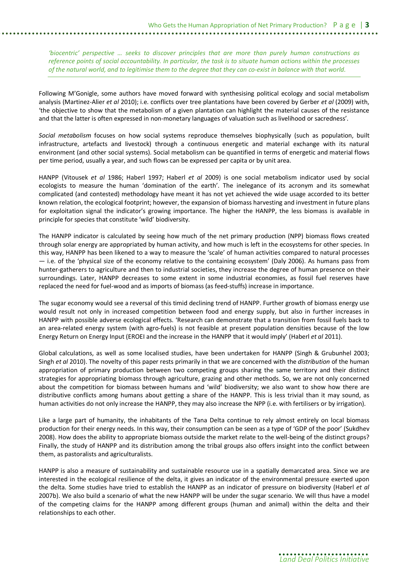*'biocentric' perspective … seeks to discover principles that are more than purely human constructions as reference points of social accountability. In particular, the task is to situate human actions within the processes of the natural world, and to legitimise them to the degree that they can co-exist in balance with that world.*

Following M'Gonigle, some authors have moved forward with synthesising political ecology and social metabolism analysis (Martinez-Alier *et al* 2010); i.e. conflicts over tree plantations have been covered by Gerber *et al* (2009) with, 'the objective to show that the metabolism of a given plantation can highlight the material causes of the resistance and that the latter is often expressed in non-monetary languages of valuation such as livelihood or sacredness'.

*Social metabolism* focuses on how social systems reproduce themselves biophysically (such as population, built infrastructure, artefacts and livestock) through a continuous energetic and material exchange with its natural environment (and other social systems). Social metabolism can be quantified in terms of energetic and material flows per time period, usually a year, and such flows can be expressed per capita or by unit area.

HANPP (Vitousek *et al* 1986; Haberl 1997; Haberl *et al* 2009) is one social metabolism indicator used by social ecologists to measure the human 'domination of the earth'. The inelegance of its acronym and its somewhat complicated (and contested) methodology have meant it has not yet achieved the wide usage accorded to its better known relation, the ecological footprint; however, the expansion of biomass harvesting and investment in future plans for exploitation signal the indicator's growing importance. The higher the HANPP, the less biomass is available in principle for species that constitute 'wild' biodiversity.

The HANPP indicator is calculated by seeing how much of the net primary production (NPP) biomass flows created through solar energy are appropriated by human activity, and how much is left in the ecosystems for other species. In this way, HANPP has been likened to a way to measure the 'scale' of human activities compared to natural processes — i.e. of the 'physical size of the economy relative to the containing ecosystem' (Daly 2006). As humans pass from hunter-gatherers to agriculture and then to industrial societies, they increase the degree of human presence on their surroundings. Later, HANPP decreases to some extent in some industrial economies, as fossil fuel reserves have replaced the need for fuel-wood and as imports of biomass (as feed-stuffs) increase in importance.

The sugar economy would see a reversal of this timid declining trend of HANPP. Further growth of biomass energy use would result not only in increased competition between food and energy supply, but also in further increases in HANPP with possible adverse ecological effects. 'Research can demonstrate that a transition from fossil fuels back to an area-related energy system (with agro-fuels) is not feasible at present population densities because of the low Energy Return on Energy Input (EROEI and the increase in the HANPP that it would imply' (Haberl *et al* 2011).

Global calculations, as well as some localised studies, have been undertaken for HANPP (Singh & Grubunhel 2003; Singh *et al* 2010). The novelty of this paper rests primarily in that we are concerned with the *distribution* of the human appropriation of primary production between two competing groups sharing the same territory and their distinct strategies for appropriating biomass through agriculture, grazing and other methods. So, we are not only concerned about the competition for biomass between humans and 'wild' biodiversity; we also want to show how there are distributive conflicts among humans about getting a share of the HANPP. This is less trivial than it may sound, as human activities do not only increase the HANPP, they may also increase the NPP (i.e. with fertilisers or by irrigation).

Like a large part of humanity, the inhabitants of the Tana Delta continue to rely almost entirely on local biomass production for their energy needs. In this way, their consumption can be seen as a type of 'GDP of the poor' (Sukdhev 2008). How does the ability to appropriate biomass outside the market relate to the well-being of the distinct groups? Finally, the study of HANPP and its distribution among the tribal groups also offers insight into the conflict between them, as pastoralists and agriculturalists.

HANPP is also a measure of sustainability and sustainable resource use in a spatially demarcated area. Since we are interested in the ecological resilience of the delta, it gives an indicator of the environmental pressure exerted upon the delta. Some studies have tried to establish the HANPP as an indicator of pressure on biodiversity (Haberl *et al* 2007b). We also build a scenario of what the new HANPP will be under the sugar scenario. We will thus have a model of the competing claims for the HANPP among different groups (human and animal) within the delta and their relationships to each other.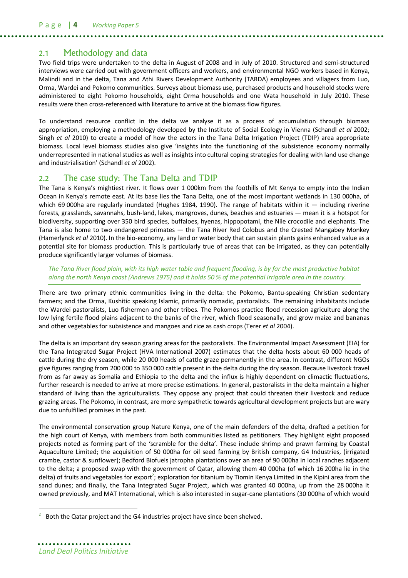### 2.1 Methodology and data

Two field trips were undertaken to the delta in August of 2008 and in July of 2010. Structured and semi-structured interviews were carried out with government officers and workers, and environmental NGO workers based in Kenya, Malindi and in the delta, Tana and Athi Rivers Development Authority (TARDA) employees and villagers from Luo, Orma, Wardei and Pokomo communities. Surveys about biomass use, purchased products and household stocks were administered to eight Pokomo households, eight Orma households and one Wata household in July 2010. These results were then cross-referenced with literature to arrive at the biomass flow figures.

To understand resource conflict in the delta we analyse it as a process of accumulation through biomass appropriation, employing a methodology developed by the Institute of Social Ecology in Vienna (Schandl *et al* 2002; Singh *et al* 2010) to create a model of how the actors in the Tana Delta Irrigation Project (TDIP) area appropriate biomass. Local level biomass studies also give 'insights into the functioning of the subsistence economy normally underrepresented in national studies as well as insights into cultural coping strategies for dealing with land use change and industrialisation' (Schandl *et al* 2002).

### 2.2 The case study: The Tana Delta and TDIP

The Tana is Kenya's mightiest river. It flows over 1 000km from the foothills of Mt Kenya to empty into the Indian Ocean in Kenya's remote east. At its base lies the Tana Delta, one of the most important wetlands in 130 000ha, of which 69 000ha are regularly inundated (Hughes 1984, 1990). The range of habitats within it  $-$  including riverine forests, grasslands, savannahs, bush-land, lakes, mangroves, dunes, beaches and estuaries — mean it is a hotspot for biodiversity, supporting over 350 bird species, buffaloes, hyenas, hippopotami, the Nile crocodile and elephants. The Tana is also home to two endangered primates — the Tana River Red Colobus and the Crested Mangabey Monkey (Hamerlynck *et al* 2010). In the bio-economy, any land or water body that can sustain plants gains enhanced value as a potential site for biomass production. This is particularly true of areas that can be irrigated, as they can potentially produce significantly larger volumes of biomass.

*The Tana River flood plain, with its high water table and frequent flooding, is by far the most productive habitat along the north Kenya coast (Andrews 1975) and it holds 50 % of the potential irrigable area in the country.*

There are two primary ethnic communities living in the delta: the Pokomo, Bantu-speaking Christian sedentary farmers; and the Orma, Kushitic speaking Islamic, primarily nomadic, pastoralists. The remaining inhabitants include the Wardei pastoralists, Luo fishermen and other tribes. The Pokomos practice flood recession agriculture along the low lying fertile flood plains adjacent to the banks of the river, which flood seasonally, and grow maize and bananas and other vegetables for subsistence and mangoes and rice as cash crops (Terer *et al* 2004).

The delta is an important dry season grazing areas for the pastoralists. The Environmental Impact Assessment (EIA) for the Tana Integrated Sugar Project (HVA International 2007) estimates that the delta hosts about 60 000 heads of cattle during the dry season, while 20 000 heads of cattle graze permanently in the area. In contrast, different NGOs give figures ranging from 200 000 to 350 000 cattle present in the delta during the dry season. Because livestock travel from as far away as Somalia and Ethiopia to the delta and the influx is highly dependent on climactic fluctuations, further research is needed to arrive at more precise estimations. In general, pastoralists in the delta maintain a higher standard of living than the agriculturalists. They oppose any project that could threaten their livestock and reduce grazing areas. The Pokomo, in contrast, are more sympathetic towards agricultural development projects but are wary due to unfulfilled promises in the past.

The environmental conservation group Nature Kenya, one of the main defenders of the delta, drafted a petition for the high court of Kenya, with members from both communities listed as petitioners. They highlight eight proposed projects noted as forming part of the 'scramble for the delta'. These include shrimp and prawn farming by Coastal Aquaculture Limited; the acquisition of 50 000ha for oil seed farming by British company, G4 Industries, (irrigated crambe, castor & sunflower); Bedford Biofuels jatropha plantations over an area of 90 000ha in local ranches adjacent to the delta; a proposed swap with the government of Qatar, allowing them 40 000ha (of which 16 200ha lie in the delta) of fruits and vegetables for export<sup>2</sup>; exploration for titanium by Tiomin Kenya Limited in the Kipini area from the sand dunes; and finally, the Tana Integrated Sugar Project, which was granted 40 000ha, up from the 28 000ha it owned previously, and MAT International, which is also interested in sugar-cane plantations (30 000ha of which would

 $\overline{a}$ 

<sup>2</sup> Both the Qatar project and the G4 industries project have since been shelved.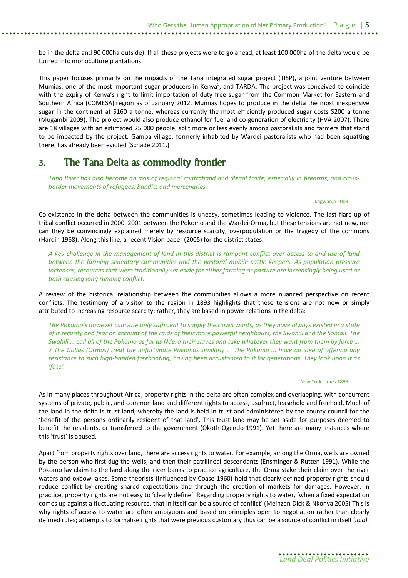be in the delta and 90 000ha outside). If all these projects were to go ahead, at least 100 000ha of the delta would be turned into monoculture plantations.

This paper focuses primarily on the impacts of the Tana integrated sugar project (TISP), a joint venture between Mumias, one of the most important sugar producers in Kenya<sup>5</sup>, and TARDA. The project was conceived to coincide with the expiry of Kenya's right to limit importation of duty free sugar from the Common Market for Eastern and Southern Africa (COMESA) region as of January 2012. Mumias hopes to produce in the delta the most inexpensive sugar in the continent at \$160 a tonne, whereas currently the most efficiently produced sugar costs \$200 a tonne (Mugambi 2009). The project would also produce ethanol for fuel and co-generation of electricity (HVA 2007). There are 18 villages with an estimated 25 000 people, split more or less evenly among pastoralists and farmers that stand to be impacted by the project. Gamba village, formerly inhabited by Wardei pastoralists who had been squatting there, has already been evicted (Schade 2011.)

# **3. The Tana Delta as commodity frontier**

*Tana River has also become an axis of regional contraband and illegal trade, especially in firearms, and crossborder movements of refugees, bandits and mercenaries.* 

Kagwanja 2003.

Co-existence in the delta between the communities is uneasy, sometimes leading to violence. The last flare-up of tribal conflict occurred in 2000–2001 between the Pokomo and the Wardei-Orma, but these tensions are not new, nor can they be convincingly explained merely by resource scarcity, overpopulation or the tragedy of the commons (Hardin 1968). Along this line, a recent Vision paper (2005) for the district states:

*A key challenge in the management of land in this district is rampant conflict over access to and use of land between the farming sedentary communities and the pastoral mobile cattle keepers. As population pressure increases, resources that were traditionally set aside for either farming or pasture are increasingly being used or both causing long running conflict.*

A review of the historical relationship between the communities allows a more nuanced perspective on recent conflicts. The testimony of a visitor to the region in 1893 highlights that these tensions are not new or simply attributed to increasing resource scarcity; rather, they are based in power relations in the delta:

*The Pokomo's however cultivate only sufficient to supply their own wants, as they have always existed in a state of insecurity and fear on account of the raids of their more powerful neighbours, the Swahili and the Somali. The Swahili … call all of the Pokomo as far as Ndera their slaves and take whatever they want from them by force … 7 The Gallas (Ormas) treat the unfortunate Pokomos similarly ... The Pokomo ... have no idea of offering any resistance to such high-handed freebooting, having been accustomed to it for generations. They look upon it as 'fate'.*

New York Times 1893.

As in many places throughout Africa, property rights in the delta are often complex and overlapping, with concurrent systems of private, public, and common land and different rights to access, usufruct, leasehold and freehold. Much of the land in the delta is trust land, whereby the land is held in trust and administered by the county council for the 'benefit of the persons ordinarily resident of that land'. This trust land may be set aside for purposes deemed to benefit the residents, or transferred to the government (Okoth-Ogendo 1991). Yet there are many instances where this 'trust' is abused.

Apart from property rights over land, there are access rights to water. For example, among the Orma, wells are owned by the person who first dug the wells, and then their patrilineal descendants (Ensminger & Rutten 1991). While the Pokomo lay claim to the land along the river banks to practice agriculture, the Orma stake their claim over the river waters and oxbow lakes. Some theorists (influenced by Coase 1960) hold that clearly defined property rights should reduce conflict by creating shared expectations and through the creation of markets for damages. However, in practice, property rights are not easy to 'clearly define'. Regarding property rights to water, 'when a fixed expectation comes up against a fluctuating resource, that in itself can be a source of conflict' (Meinzen-Dick & Nkonya 2005) This is why rights of access to water are often ambiguous and based on principles open to negotiation rather than clearly defined rules; attempts to formalise rights that were previous customary thus can be a source of conflict in itself (*ibid).*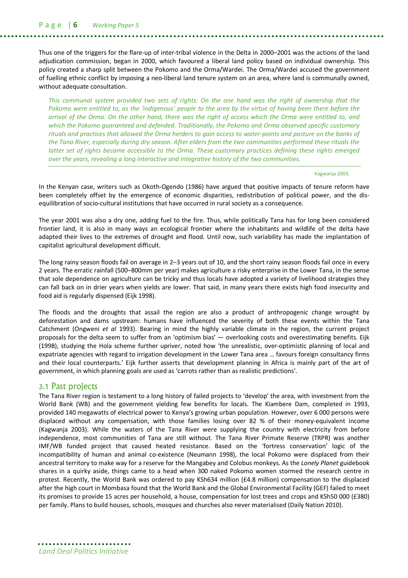P a g e | **6** *Working Paper 5*

Thus one of the triggers for the flare-up of inter-tribal violence in the Delta in 2000–2001 was the actions of the land adjudication commission, began in 2000, which favoured a liberal land policy based on individual ownership. This policy created a sharp split between the Pokomo and the Orma/Wardei. The Orma/Wardei accused the government of fuelling ethnic conflict by imposing a neo-liberal land tenure system on an area, where land is communally owned, without adequate consultation.

*This communal system provided two sets of rights: On the one hand was the right of ownership that the Pokomo were entitled to, as the 'indigenous' people to the area by the virtue of having been there before the arrival of the Orma. On the other hand, there was the right of access which the Orma were entitled to, and which the Pokomo guaranteed and defended. Traditionally, the Pokomo and Orma observed specific customary rituals and practices that allowed the Orma herders to gain access to water-points and pasture on the banks of the Tana River, especially during dry season. After elders from the two communities performed these rituals the latter set of rights became accessible to the Orma. These customary practices defining these rights emerged over the years, revealing a long interactive and integrative history of the two communities.*

#### Kagwanja 2003.

In the Kenyan case, writers such as Okoth-Ogendo (1986) have argued that positive impacts of tenure reform have been completely offset by the emergence of economic disparities, redistribution of political power, and the disequilibration of socio-cultural institutions that have occurred in rural society as a consequence.

The year 2001 was also a dry one, adding fuel to the fire. Thus, while politically Tana has for long been considered frontier land, it is also in many ways an ecological frontier where the inhabitants and wildlife of the delta have adapted their lives to the extremes of drought and flood. Until now, such variability has made the implantation of capitalist agricultural development difficult.

The long rainy season floods fail on average in 2–3 years out of 10, and the short rainy season floods fail once in every 2 years. The erratic rainfall (500–800mm per year) makes agriculture a risky enterprise in the Lower Tana, in the sense that sole dependence on agriculture can be tricky and thus locals have adopted a variety of livelihood strategies they can fall back on in drier years when yields are lower. That said, in many years there exists high food insecurity and food aid is regularly dispensed (Eijk 1998).

The floods and the droughts that assail the region are also a product of anthropogenic change wrought by deforestation and dams upstream: humans have influenced the severity of both these events within the Tana Catchment (Ongweni *et al* 1993). Bearing in mind the highly variable climate in the region, the current project proposals for the delta seem to suffer from an 'optimism bias' — overlooking costs and overestimating benefits. Eijk (1998), studying the Hola scheme further upriver, noted how 'the unrealistic, over-optimistic planning of local and expatriate agencies with regard to irrigation development in the Lower Tana area … favours foreign consultancy firms and their local counterparts.' Eijk further asserts that development planning in Africa is mainly part of the art of government, in which planning goals are used as 'carrots rather than as realistic predictions'.

#### 3.1 Past projects

The Tana River region is testament to a long history of failed projects to 'develop' the area, with investment from the World Bank (WB) and the government yielding few benefits for locals. The Kiambere Dam, completed in 1993, provided 140 megawatts of electrical power to Kenya's growing urban population. However, over 6 000 persons were displaced without any compensation, with those families losing over 82 % of their money-equivalent income (Kagwanja 2003). While the waters of the Tana River were supplying the country with electricity from before independence, most communities of Tana are still without. The Tana River Primate Reserve (TRPR) was another IMF/WB funded project that caused heated resistance. Based on the 'fortress conservation' logic of the incompatibility of human and animal co-existence (Neumann 1998), the local Pokomo were displaced from their ancestral territory to make way for a reserve for the Mangabey and Colobus monkeys. As the *Lonely Planet* guidebook shares in a quirky aside, things came to a head when 300 naked Pokomo women stormed the research centre in protest. Recently, the World Bank was ordered to pay KSh634 million (£4.8 million) compensation to the displaced after the high court in Mombasa found that the World Bank and the Global Environmental Facility (GEF) failed to meet its promises to provide 15 acres per household, a house, compensation for lost trees and crops and KSh50 000 (£380) per family. Plans to build houses, schools, mosques and churches also never materialised (Daily Nation 2010).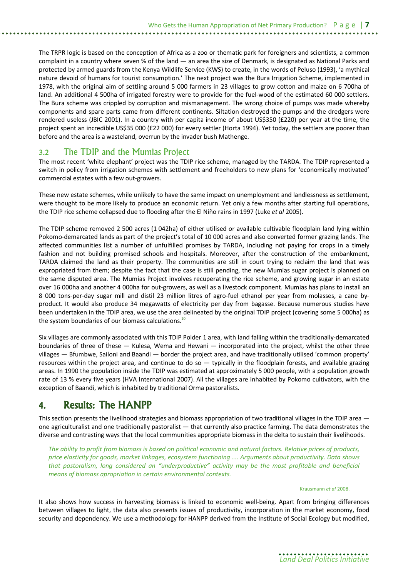The TRPR logic is based on the conception of Africa as a zoo or thematic park for foreigners and scientists, a common complaint in a country where seven % of the land — an area the size of Denmark, is designated as National Parks and protected by armed guards from the Kenya Wildlife Service (KWS) to create, in the words of Peluso (1993), 'a mythical nature devoid of humans for tourist consumption.' The next project was the Bura Irrigation Scheme, implemented in 1978, with the original aim of settling around 5 000 farmers in 23 villages to grow cotton and maize on 6 700ha of land. An additional 4 500ha of irrigated forestry were to provide for the fuel-wood of the estimated 60 000 settlers. The Bura scheme was crippled by corruption and mismanagement. The wrong choice of pumps was made whereby components and spare parts came from different continents. Siltation destroyed the pumps and the dredgers were rendered useless (JBIC 2001). In a country with per capita income of about US\$350 (£220) per year at the time, the project spent an incredible US\$35 000 (£22 000) for every settler (Horta 1994). Yet today, the settlers are poorer than before and the area is a wasteland, overrun by the invader bush Mathenge.

### 3.2 The TDIP and the Mumias Project

The most recent 'white elephant' project was the TDIP rice scheme, managed by the TARDA. The TDIP represented a switch in policy from irrigation schemes with settlement and freeholders to new plans for 'economically motivated' commercial estates with a few out-growers.

These new estate schemes, while unlikely to have the same impact on unemployment and landlessness as settlement, were thought to be more likely to produce an economic return. Yet only a few months after starting full operations, the TDIP rice scheme collapsed due to flooding after the El Niño rains in 1997 (Luke *et al* 2005).

The TDIP scheme removed 2 500 acres (1 042ha) of either utilised or available cultivable floodplain land lying within Pokomo-demarcated lands as part of the project's total of 10 000 acres and also converted former grazing lands. The affected communities list a number of unfulfilled promises by TARDA, including not paying for crops in a timely fashion and not building promised schools and hospitals. Moreover, after the construction of the embankment, TARDA claimed the land as their property. The communities are still in court trying to reclaim the land that was expropriated from them; despite the fact that the case is still pending, the new Mumias sugar project is planned on the same disputed area. The Mumias Project involves recuperating the rice scheme, and growing sugar in an estate over 16 000ha and another 4 000ha for out-growers, as well as a livestock component. Mumias has plans to install an 8 000 tons-per-day sugar mill and distil 23 million litres of agro-fuel ethanol per year from molasses, a cane byproduct. It would also produce 34 megawatts of electricity per day from bagasse. Because numerous studies have been undertaken in the TDIP area, we use the area delineated by the original TDIP project (covering some 5 000ha) as the system boundaries of our biomass calculations. $10$ 

Six villages are commonly associated with this TDIP Polder 1 area, with land falling within the traditionally-demarcated boundaries of three of these — Kulesa, Wema and Hewani — incorporated into the project, whilst the other three villages — Bfumbwe, Sailoni and Baandi — border the project area, and have traditionally utilised 'common property' resources within the project area, and continue to do so  $-$  typically in the floodplain forests, and available grazing areas. In 1990 the population inside the TDIP was estimated at approximately 5 000 people, with a population growth rate of 13 % every five years (HVA International 2007). All the villages are inhabited by Pokomo cultivators, with the exception of Baandi, which is inhabited by traditional Orma pastoralists.

# **4. Results: The HANPP**

This section presents the livelihood strategies and biomass appropriation of two traditional villages in the TDIP area  $$ one agriculturalist and one traditionally pastoralist  $-$  that currently also practice farming. The data demonstrates the diverse and contrasting ways that the local communities appropriate biomass in the delta to sustain their livelihoods.

*The ability to profit from biomass is based on political economic and natural factors. Relative prices of products, price elasticity for goods, market linkages, ecosystem functioning .... Arguments about productivity. Data shows that pastoralism, long considered an "underproductive" activity may be the most profitable and beneficial means of biomass apropriation in certain environmental contexts.*

Krausmann *et al* 2008.

It also shows how success in harvesting biomass is linked to economic well-being. Apart from bringing differences between villages to light, the data also presents issues of productivity, incorporation in the market economy, food security and dependency. We use a methodology for HANPP derived from the Institute of Social Ecology but modified,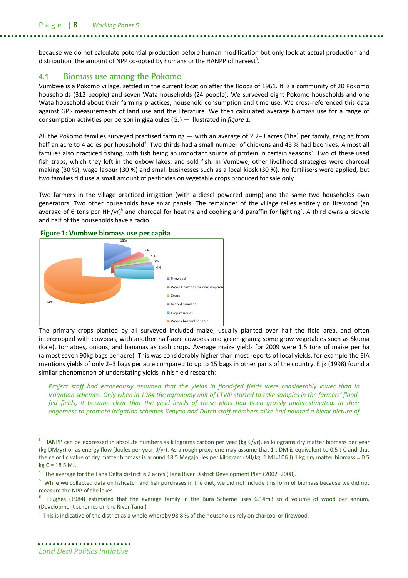because we do not calculate potential production before human modification but only look at actual production and distribution. the amount of NPP co-opted by humans or the HANPP of harvest<sup>3</sup>.

### 4.1 Biomass use among the Pokomo

Vumbwe is a Pokomo village, settled in the current location after the floods of 1961. It is a community of 20 Pokomo households (312 people) and seven Wata households (24 people). We surveyed eight Pokomo households and one Wata household about their farming practices, household consumption and time use. We cross-referenced this data against GPS measurements of land use and the literature. We then calculated average biomass use for a range of consumption activities per person in gigajoules (GJ) — illustrated in *figure 1*.

All the Pokomo families surveyed practised farming — with an average of 2.2–3 acres (1ha) per family, ranging from half an acre to 4 acres per household<sup>4</sup>. Two thirds had a small number of chickens and 45 % had beehives. Almost all families also practiced fishing, with fish being an important source of protein in certain seasons<sup>5</sup>. Two of these used fish traps, which they left in the oxbow lakes, and sold fish. In Vumbwe, other livelihood strategies were charcoal making (30 %), wage labour (30 %) and small businesses such as a local kiosk (30 %). No fertilisers were applied, but two families did use a small amount of pesticides on vegetable crops produced for sale only.

Two farmers in the village practiced irrigation (with a diesel powered pump) and the same two households own generators. Two other households have solar panels. The remainder of the village relies entirely on firewood (an average of 6 tons per HH/yr)<sup>6</sup> and charcoal for heating and cooking and paraffin for lighting<sup>7</sup>. A third owns a bicycle and half of the households have a radio.



The primary crops planted by all surveyed included maize, usually planted over half the field area, and often intercropped with cowpeas, with another half-acre cowpeas and green-grams; some grow vegetables such as Skuma (kale), tomatoes, onions, and bananas as cash crops. Average maize yields for 2009 were 1.5 tons of maize per ha (almost seven 90kg bags per acre). This was considerably higher than most reports of local yields, for example the EIA mentions yields of only 2–3 bags per acre compared to up to 15 bags in other parts of the country. Eijk (1998) found a similar phenomenon of understating yields in his field research:

*Project staff had erroneously assumed that the yields in flood-fed fields were considerably lower than in irrigation schemes. Only when in 1984 the agronomy unit of LTVIP started to take samples in the farmers' floodfed fields, it became clear that the yield levels of these plots had been grossly underestimated. In their eagerness to promote irrigation schemes Kenyan and Dutch staff members alike had painted a bleak picture of* 

 $\overline{a}$ 

<sup>3</sup> HANPP can be expressed in absolute numbers as kilograms carbon per year (kg C/yr), as kilograms dry matter biomass per year (kg DM/yr) or as energy flow (Joules per year, J/yr). As a rough proxy one may assume that 1 t DM is equivalent to 0.5 t C and that the calorific value of dry matter biomass is around 18.5 Megajoules per kilogram (MJ/kg, 1 MJ=106 J).1 kg dry matter biomass = 0.5 kg C = 18.5 MJ.

<sup>&</sup>lt;sup>4</sup> The average for the Tana Delta district is 2 acres (Tana River District Development Plan (2002–2008).

<sup>&</sup>lt;sup>5</sup> While we collected data on fishcatch and fish purchases in the diet, we did not include this form of biomass because we did not measure the NPP of the lakes.

<sup>6</sup> Hughes (1984) estimated that the average family in the Bura Scheme uses 6.14m3 solid volume of wood per annum. (Development schemes on the River Tana.)

 $^7$  This is indicative of the district as a whole whereby 98.8 % of the households rely on charcoal or firewood.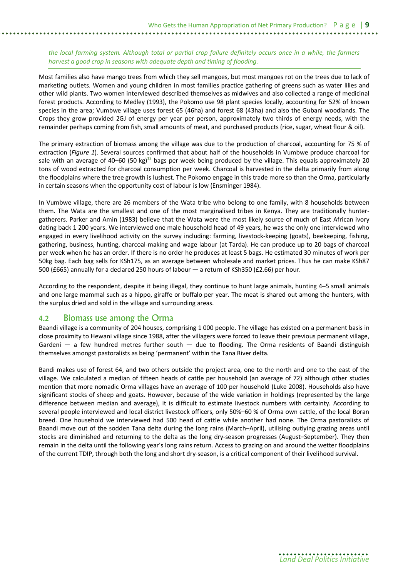#### *the local farming system. Although total or partial crop failure definitely occurs once in a while, the farmers harvest a good crop in seasons with adequate depth and timing of flooding.*

Most families also have mango trees from which they sell mangoes, but most mangoes rot on the trees due to lack of marketing outlets. Women and young children in most families practice gathering of greens such as water lilies and other wild plants. Two women interviewed described themselves as midwives and also collected a range of medicinal forest products. According to Medley (1993), the Pokomo use 98 plant species locally, accounting for 52% of known species in the area; Vumbwe village uses forest 65 (46ha) and forest 68 (43ha) and also the Gubani woodlands. The Crops they grow provided 2GJ of energy per year per person, approximately two thirds of energy needs, with the remainder perhaps coming from fish, small amounts of meat, and purchased products (rice, sugar, wheat flour & oil).

The primary extraction of biomass among the village was due to the production of charcoal, accounting for 75 % of extraction (*Figure 1*). Several sources confirmed that about half of the households in Vumbwe produce charcoal for sale with an average of 40–60 (50 kg)<sup>12</sup> bags per week being produced by the village. This equals approximately 20 tons of wood extracted for charcoal consumption per week. Charcoal is harvested in the delta primarily from along the floodplains where the tree growth is lushest. The Pokomo engage in this trade more so than the Orma, particularly in certain seasons when the opportunity cost of labour is low (Ensminger 1984).

In Vumbwe village, there are 26 members of the Wata tribe who belong to one family, with 8 households between them. The Wata are the smallest and one of the most marginalised tribes in Kenya. They are traditionally huntergatherers. Parker and Amin (1983) believe that the Wata were the most likely source of much of East African ivory dating back 1 200 years. We interviewed one male household head of 49 years, he was the only one interviewed who engaged in every livelihood activity on the survey including: farming, livestock-keeping (goats), beekeeping, fishing, gathering, business, hunting, charcoal-making and wage labour (at Tarda). He can produce up to 20 bags of charcoal per week when he has an order. If there is no order he produces at least 5 bags. He estimated 30 minutes of work per 50kg bag. Each bag sells for KSh175, as an average between wholesale and market prices. Thus he can make KSh87 500 (£665) annually for a declared 250 hours of labour — a return of KSh350 (£2.66) per hour.

According to the respondent, despite it being illegal, they continue to hunt large animals, hunting 4–5 small animals and one large mammal such as a hippo, giraffe or buffalo per year. The meat is shared out among the hunters, with the surplus dried and sold in the village and surrounding areas.

### 4.2 Biomass use among the Orma

Baandi village is a community of 204 houses, comprising 1 000 people. The village has existed on a permanent basis in close proximity to Hewani village since 1988, after the villagers were forced to leave their previous permanent village, Gardeni  $-$  a few hundred metres further south  $-$  due to flooding. The Orma residents of Baandi distinguish themselves amongst pastoralists as being 'permanent' within the Tana River delta.

Bandi makes use of forest 64, and two others outside the project area, one to the north and one to the east of the village. We calculated a median of fifteen heads of cattle per household (an average of 72) although other studies mention that more nomadic Orma villages have an average of 100 per household (Luke 2008). Households also have significant stocks of sheep and goats. However, because of the wide variation in holdings (represented by the large difference between median and average), it is difficult to estimate livestock numbers with certainty. According to several people interviewed and local district livestock officers, only 50%–60 % of Orma own cattle, of the local Boran breed. One household we interviewed had 500 head of cattle while another had none. The Orma pastoralists of Baandi move out of the sodden Tana delta during the long rains (March–April), utilising outlying grazing areas until stocks are diminished and returning to the delta as the long dry-season progresses (August–September). They then remain in the delta until the following year's long rains return. Access to grazing on and around the wetter floodplains of the current TDIP, through both the long and short dry-season, is a critical component of their livelihood survival.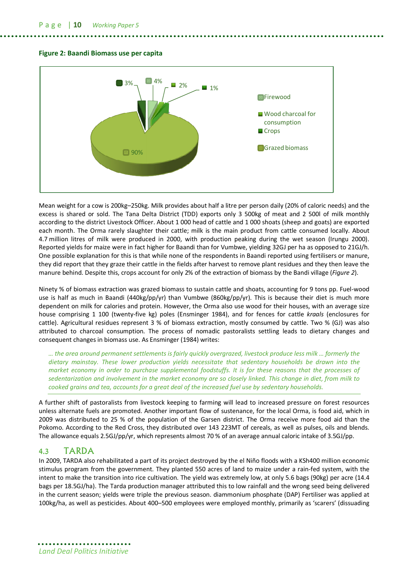



Mean weight for a cow is 200kg–250kg. Milk provides about half a litre per person daily (20% of caloric needs) and the excess is shared or sold. The Tana Delta District (TDD) exports only 3 500kg of meat and 2 500l of milk monthly according to the district Livestock Officer. About 1 000 head of cattle and 1 000 shoats (sheep and goats) are exported each month. The Orma rarely slaughter their cattle; milk is the main product from cattle consumed locally. About 4.7 million litres of milk were produced in 2000, with production peaking during the wet season (Irungu 2000). Reported yields for maize were in fact higher for Baandi than for Vumbwe, yielding 32GJ per ha as opposed to 21GJ/h. One possible explanation for this is that while none of the respondents in Baandi reported using fertilisers or manure, they did report that they graze their cattle in the fields after harvest to remove plant residues and they then leave the manure behind. Despite this, crops account for only 2% of the extraction of biomass by the Bandi village (*Figure 2*).

Ninety % of biomass extraction was grazed biomass to sustain cattle and shoats, accounting for 9 tons pp. Fuel-wood use is half as much in Baandi (440kg/pp/yr) than Vumbwe (860kg/pp/yr). This is because their diet is much more dependent on milk for calories and protein. However, the Orma also use wood for their houses, with an average size house comprising 1 100 (twenty-five kg) poles (Ensminger 1984), and for fences for cattle *kraals* (enclosures for cattle). Agricultural residues represent 3 % of biomass extraction, mostly consumed by cattle. Two % (GJ) was also attributed to charcoal consumption. The process of nomadic pastoralists settling leads to dietary changes and consequent changes in biomass use. As Ensminger (1984) writes:

*… the area around permanent settlements is fairly quickly overgrazed, livestock produce less milk … formerly the dietary mainstay. These lower production yields necessitate that sedentary households be drawn into the market economy in order to purchase supplemental foodstuffs. It is for these reasons that the processes of sedentarization and involvement in the market economy are so closely linked. This change in diet, from milk to cooked grains and tea, accounts for a great deal of the increased fuel use by sedentary households.*

A further shift of pastoralists from livestock keeping to farming will lead to increased pressure on forest resources unless alternate fuels are promoted. Another important flow of sustenance, for the local Orma, is food aid, which in 2009 was distributed to 25 % of the population of the Garsen district. The Orma receive more food aid than the Pokomo. According to the Red Cross, they distributed over 143 223MT of cereals, as well as pulses, oils and blends. The allowance equals 2.5GJ/pp/yr, which represents almost 70 % of an average annual caloric intake of 3.5GJ/pp.

### 4.3 TARDA

In 2009, TARDA also rehabilitated a part of its project destroyed by the el Niño floods with a KSh400 million economic stimulus program from the government. They planted 550 acres of land to maize under a rain-fed system, with the intent to make the transition into rice cultivation. The yield was extremely low, at only 5.6 bags (90kg) per acre (14.4 bags per 18.5GJ/ha). The Tarda production manager attributed this to low rainfall and the wrong seed being delivered in the current season; yields were triple the previous season. diammonium phosphate (DAP) Fertiliser was applied at 100kg/ha, as well as pesticides. About 400–500 employees were employed monthly, primarily as 'scarers' (dissuading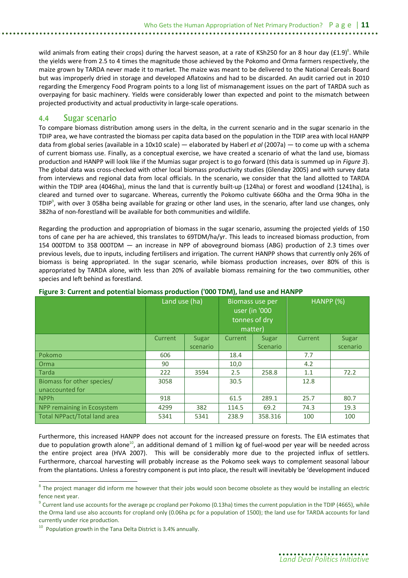wild animals from eating their crops) during the harvest season, at a rate of KSh250 for an 8 hour day (£1.9)<sup>8</sup>. While the yields were from 2.5 to 4 times the magnitude those achieved by the Pokomo and Orma farmers respectively, the maize grown by TARDA never made it to market. The maize was meant to be delivered to the National Cereals Board but was improperly dried in storage and developed Aflatoxins and had to be discarded. An audit carried out in 2010 regarding the Emergency Food Program points to a long list of mismanagement issues on the part of TARDA such as overpaying for basic machinery. Yields were considerably lower than expected and point to the mismatch between projected productivity and actual productivity in large-scale operations.

### 4.4 Sugar scenario

To compare biomass distribution among users in the delta, in the current scenario and in the sugar scenario in the TDIP area, we have contrasted the biomass per capita data based on the population in the TDIP area with local HANPP data from global series (available in a 10x10 scale) — elaborated by Haberl *et al* (2007a) — to come up with a schema of current biomass use. Finally, as a conceptual exercise, we have created a scenario of what the land use, biomass production and HANPP will look like if the Mumias sugar project is to go forward (this data is summed up in *Figure 3*). The global data was cross-checked with other local biomass productivity studies (Glenday 2005) and with survey data from interviews and regional data from local officials. In the scenario, we consider that the land allotted to TARDA within the TDIP area (4046ha), minus the land that is currently built-up (124ha) or forest and woodland (1241ha), is cleared and turned over to sugarcane. Whereas, currently the Pokomo cultivate 660ha and the Orma 90ha in the TDIP<sup>9</sup>, with over 3 058ha being available for grazing or other land uses, in the scenario, after land use changes, only 382ha of non-forestland will be available for both communities and wildlife.

Regarding the production and appropriation of biomass in the sugar scenario, assuming the projected yields of 150 tons of cane per ha are achieved, this translates to 69TDM/ha/yr. This leads to increased biomass production, from 154 000TDM to 358 000TDM — an increase in NPP of aboveground biomass (ABG) production of 2.3 times over previous levels, due to inputs, including fertilisers and irrigation. The current HANPP shows that currently only 26% of biomass is being appropriated. In the sugar scenario, while biomass production increases, over 80% of this is appropriated by TARDA alone, with less than 20% of available biomass remaining for the two communities, other species and left behind as forestland.

|                                     | Land use (ha) |          | Biomass use per<br>user (in '000<br>tonnes of dry<br>matter) |                 | HANPP (%) |          |
|-------------------------------------|---------------|----------|--------------------------------------------------------------|-----------------|-----------|----------|
|                                     | Current       | Sugar    | Current                                                      | <b>Sugar</b>    | Current   | Sugar    |
|                                     |               | scenario |                                                              | <b>Scenario</b> |           | scenario |
| Pokomo                              | 606           |          | 18.4                                                         |                 | 7.7       |          |
| Orma                                | 90            |          | 10,0                                                         |                 | 4.2       |          |
| Tarda                               | 222           | 3594     | 2.5                                                          | 258.8           | 1.1       | 72.2     |
| Biomass for other species/          | 3058          |          | 30.5                                                         |                 | 12.8      |          |
| unaccounted for                     |               |          |                                                              |                 |           |          |
| <b>NPPh</b>                         | 918           |          | 61.5                                                         | 289.1           | 25.7      | 80.7     |
| NPP remaining in Ecosystem          | 4299          | 382      | 114.5                                                        | 69.2            | 74.3      | 19.3     |
| <b>Total NPPact/Total land area</b> | 5341          | 5341     | 238.9                                                        | 358.316         | 100       | 100      |

#### **Figure 3: Current and potential biomass production ('000 TDM), land use and HANPP**

Furthermore, this increased HANPP does not account for the increased pressure on forests. The EIA estimates that due to population growth alone<sup>10</sup>, an additional demand of 1 million kg of fuel-wood per year will be needed across the entire project area (HVA 2007). This will be considerably more due to the projected influx of settlers. Furthermore, charcoal harvesting will probably increase as the Pokomo seek ways to complement seasonal labour from the plantations. Unless a forestry component is put into place, the result will inevitably be 'development induced

 8 The project manager did inform me however that their jobs would soon become obsolete as they would be installing an electric fence next year.

 $^9$  Current land use accounts for the average pc cropland per Pokomo (0.13ha) times the current population in the TDIP (4665), while the Orma land use also accounts for cropland only (0.06ha pc for a population of 1500); the land use for TARDA accounts for land currently under rice production.

 $10$  Population growth in the Tana Delta District is 3.4% annually.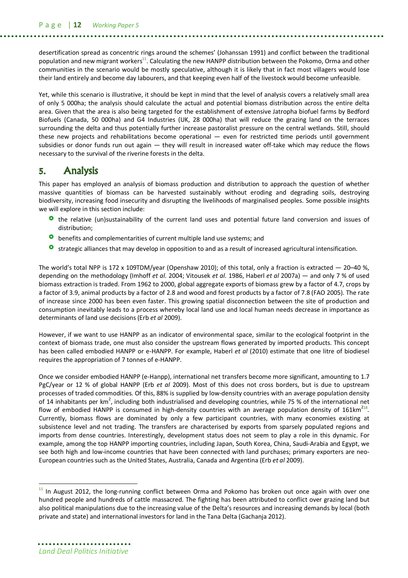P a g e | **12** *Working Paper 5*

desertification spread as concentric rings around the schemes' (Johanssan 1991) and conflict between the traditional population and new migrant workers<sup>11</sup>. Calculating the new HANPP distribution between the Pokomo, Orma and other communities in the scenario would be mostly speculative, although it is likely that in fact most villagers would lose their land entirely and become day labourers, and that keeping even half of the livestock would become unfeasible.

Yet, while this scenario is illustrative, it should be kept in mind that the level of analysis covers a relatively small area of only 5 000ha; the analysis should calculate the actual and potential biomass distribution across the entire delta area. Given that the area is also being targeted for the establishment of extensive Jatropha biofuel farms by Bedford Biofuels (Canada, 50 000ha) and G4 Industries (UK, 28 000ha) that will reduce the grazing land on the terraces surrounding the delta and thus potentially further increase pastoralist pressure on the central wetlands. Still, should these new projects and rehabilitations become operational — even for restricted time periods until government subsidies or donor funds run out again  $-$  they will result in increased water off-take which may reduce the flows necessary to the survival of the riverine forests in the delta.

### **5. Analysis**

This paper has employed an analysis of biomass production and distribution to approach the question of whether massive quantities of biomass can be harvested sustainably without eroding and degrading soils, destroying biodiversity, increasing food insecurity and disrupting the livelihoods of marginalised peoples. Some possible insights we will explore in this section include:

- **O** the relative (un)sustainability of the current land uses and potential future land conversion and issues of distribution;
- **o** benefits and complementarities of current multiple land use systems; and
- **o** strategic alliances that may develop in opposition to and as a result of increased agricultural intensification.

The world's total NPP is 172 x 109TDM/year (Openshaw 2010); of this total, only a fraction is extracted  $-$  20–40 %. depending on the methodology (Imhoff *et al*. 2004; Vitousek *et al*. 1986, Haberl *et al* 2007a) — and only 7 % of used biomass extraction is traded. From 1962 to 2000, global aggregate exports of biomass grew by a factor of 4.7, crops by a factor of 3.9, animal products by a factor of 2.8 and wood and forest products by a factor of 7.8 (FAO 2005). The rate of increase since 2000 has been even faster. This growing spatial disconnection between the site of production and consumption inevitably leads to a process whereby local land use and local human needs decrease in importance as determinants of land use decisions (Erb *et al* 2009).

However, if we want to use HANPP as an indicator of environmental space, similar to the ecological footprint in the context of biomass trade, one must also consider the upstream flows generated by imported products. This concept has been called embodied HANPP or e-HANPP. For example, Haberl *et al* (2010) estimate that one litre of biodiesel requires the appropriation of 7 tonnes of e-HANPP.

Once we consider embodied HANPP (e-Hanpp), international net transfers become more significant, amounting to 1.7 PgC/year or 12 % of global HANPP (Erb *et al* 2009). Most of this does not cross borders, but is due to upstream processes of traded commodities. Of this, 88% is supplied by low-density countries with an average population density of 14 inhabitants per km<sup>2</sup>, including both industrialised and developing countries, while 75 % of the international net flow of embodied HANPP is consumed in high-density countries with an average population density of 161 $km^{218}$ . Currently, biomass flows are dominated by only a few participant countries, with many economies existing at subsistence level and not trading. The transfers are characterised by exports from sparsely populated regions and imports from dense countries. Interestingly, development status does not seem to play a role in this dynamic. For example, among the top HANPP importing countries, including Japan, South Korea, China, Saudi-Arabia and Egypt, we see both high and low-income countries that have been connected with land purchases; primary exporters are neo-European countries such as the United States, Australia, Canada and Argentina (Erb *et al* 2009).

 $\overline{a}$ 

 $11$  In August 2012, the long-running conflict between Orma and Pokomo has broken out once again with over one hundred people and hundreds of cattle massacred. The fighting has been attributed to conflict over grazing land but also political manipulations due to the increasing value of the Delta's resources and increasing demands by local (both private and state) and international investors for land in the Tana Delta (Gachanja 2012).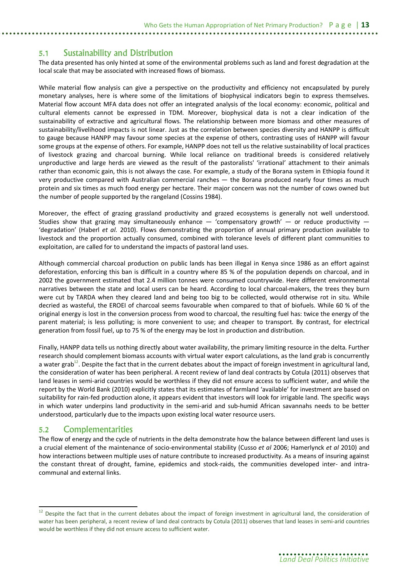### 5.1 Sustainability and Distribution

The data presented has only hinted at some of the environmental problems such as land and forest degradation at the local scale that may be associated with increased flows of biomass.

While material flow analysis can give a perspective on the productivity and efficiency not encapsulated by purely monetary analyses, here is where some of the limitations of biophysical indicators begin to express themselves. Material flow account MFA data does not offer an integrated analysis of the local economy: economic, political and cultural elements cannot be expressed in TDM. Moreover, biophysical data is not a clear indication of the sustainability of extractive and agricultural flows. The relationship between more biomass and other measures of sustainability/livelihood impacts is not linear. Just as the correlation between species diversity and HANPP is difficult to gauge because HANPP may favour some species at the expense of others, contrasting uses of HANPP will favour some groups at the expense of others. For example, HANPP does not tell us the relative sustainability of local practices of livestock grazing and charcoal burning. While local reliance on traditional breeds is considered relatively unproductive and large herds are viewed as the result of the pastoralists' 'irrational' attachment to their animals rather than economic gain, this is not always the case. For example, a study of the Borana system in Ethiopia found it very productive compared with Australian commercial ranches — the Borana produced nearly four times as much protein and six times as much food energy per hectare. Their major concern was not the number of cows owned but the number of people supported by the rangeland (Cossins 1984).

Moreover, the effect of grazing grassland productivity and grazed ecosystems is generally not well understood. Studies show that grazing may simultaneously enhance  $-$  'compensatory growth'  $-$  or reduce productivity  $-$ 'degradation' (Haberl *et al.* 2010). Flows demonstrating the proportion of annual primary production available to livestock and the proportion actually consumed, combined with tolerance levels of different plant communities to exploitation, are called for to understand the impacts of pastoral land uses.

Although commercial charcoal production on public lands has been illegal in Kenya since 1986 as an effort against deforestation, enforcing this ban is difficult in a country where 85 % of the population depends on charcoal, and in 2002 the government estimated that 2.4 million tonnes were consumed countrywide. Here different environmental narratives between the state and local users can be heard. According to local charcoal-makers, the trees they burn were cut by TARDA when they cleared land and being too big to be collected, would otherwise rot in situ. While decried as wasteful, the EROEI of charcoal seems favourable when compared to that of biofuels. While 60 % of the original energy is lost in the conversion process from wood to charcoal, the resulting fuel has: twice the energy of the parent material; is less polluting; is more convenient to use; and cheaper to transport. By contrast, for electrical generation from fossil fuel, up to 75 % of the energy may be lost in production and distribution.

Finally, HANPP data tells us nothing directly about water availability, the primary limiting resource in the delta. Further research should complement biomass accounts with virtual water export calculations, as the land grab is concurrently a water grab<sup>12</sup>. Despite the fact that in the current debates about the impact of foreign investment in agricultural land, the consideration of water has been peripheral. A recent review of land deal contracts by Cotula (2011) observes that land leases in semi-arid countries would be worthless if they did not ensure access to sufficient water, and while the report by the World Bank (2010) explicitly states that its estimates of farmland 'available' for investment are based on suitability for rain-fed production alone, it appears evident that investors will look for irrigable land. The specific ways in which water underpins land productivity in the semi-arid and sub-humid African savannahs needs to be better understood, particularly due to the impacts upon existing local water resource users.

### 5.2 Complementarities

 $\overline{a}$ 

The flow of energy and the cycle of nutrients in the delta demonstrate how the balance between different land uses is a crucial element of the maintenance of socio-environmental stability (Cusso *et al* 2006; Hamerlynck *et al* 2010) and how interactions between multiple uses of nature contribute to increased productivity. As a means of insuring against the constant threat of drought, famine, epidemics and stock-raids, the communities developed inter- and intracommunal and external links.

<sup>12</sup> Despite the fact that in the current debates about the impact of foreign investment in agricultural land, the consideration of water has been peripheral, a recent review of land deal contracts by Cotula (2011) observes that land leases in semi-arid countries would be worthless if they did not ensure access to sufficient water.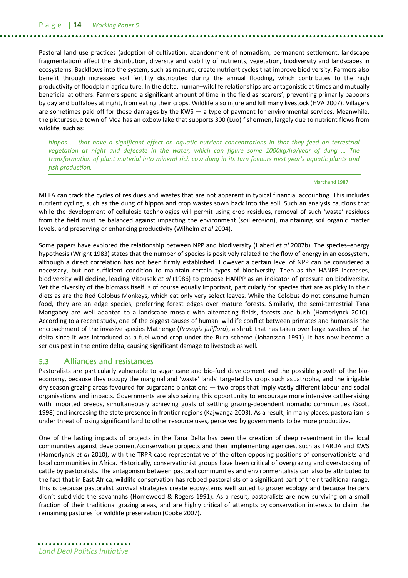Pastoral land use practices (adoption of cultivation, abandonment of nomadism, permanent settlement, landscape fragmentation) affect the distribution, diversity and viability of nutrients, vegetation, biodiversity and landscapes in ecosystems. Backflows into the system, such as manure, create nutrient cycles that improve biodiversity. Farmers also benefit through increased soil fertility distributed during the annual flooding, which contributes to the high productivity of floodplain agriculture. In the delta, human–wildlife relationships are antagonistic at times and mutually beneficial at others. Farmers spend a significant amount of time in the field as 'scarers', preventing primarily baboons by day and buffaloes at night, from eating their crops. Wildlife also injure and kill many livestock (HVA 2007). Villagers are sometimes paid off for these damages by the KWS — a type of payment for environmental services. Meanwhile, the picturesque town of Moa has an oxbow lake that supports 300 (Luo) fishermen, largely due to nutrient flows from wildlife, such as:

*hippos ... that have a significant effect on aquatic nutrient concentrations in that they feed on terrestrial vegetation at night and defecate in the water, which can figure some 1000kg/ha/year of dung … The transformation of plant material into mineral rich cow dung in its turn favours next year's aquatic plants and fish production.*

Marchand 1987.

MEFA can track the cycles of residues and wastes that are not apparent in typical financial accounting. This includes nutrient cycling, such as the dung of hippos and crop wastes sown back into the soil. Such an analysis cautions that while the development of cellulosic technologies will permit using crop residues, removal of such 'waste' residues from the field must be balanced against impacting the environment (soil erosion), maintaining soil organic matter levels, and preserving or enhancing productivity (Wilhelm *et al* 2004).

Some papers have explored the relationship between NPP and biodiversity (Haberl *et al* 2007b). The species–energy hypothesis (Wright 1983) states that the number of species is positively related to the flow of energy in an ecosystem, although a direct correlation has not been firmly established. However a certain level of NPP can be considered a necessary, but not sufficient condition to maintain certain types of biodiversity. Then as the HANPP increases, biodiversity will decline, leading Vitousek *et al* (1986) to propose HANPP as an indicator of pressure on biodiversity. Yet the diversity of the biomass itself is of course equally important, particularly for species that are as picky in their diets as are the Red Colobus Monkeys, which eat only very select leaves. While the Colobus do not consume human food, they are an edge species, preferring forest edges over mature forests. Similarly, the semi-terrestrial Tana Mangabey are well adapted to a landscape mosaic with alternating fields, forests and bush (Hamerlynck 2010). According to a recent study, one of the biggest causes of human–wildlife conflict between primates and humans is the encroachment of the invasive species Mathenge (*Prosopis juliflora*), a shrub that has taken over large swathes of the delta since it was introduced as a fuel-wood crop under the Bura scheme (Johanssan 1991). It has now become a serious pest in the entire delta, causing significant damage to livestock as well.

### 5.3 Alliances and resistances

Pastoralists are particularly vulnerable to sugar cane and bio-fuel development and the possible growth of the bioeconomy, because they occupy the marginal and 'waste' lands' targeted by crops such as Jatropha, and the irrigable dry season grazing areas favoured for sugarcane plantations — two crops that imply vastly different labour and social organisations and impacts. Governments are also seizing this opportunity to encourage more intensive cattle-raising with imported breeds, simultaneously achieving goals of settling grazing-dependent nomadic communities (Scott 1998) and increasing the state presence in frontier regions (Kajwanga 2003). As a result, in many places, pastoralism is under threat of losing significant land to other resource uses, perceived by governments to be more productive.

One of the lasting impacts of projects in the Tana Delta has been the creation of deep resentment in the local communities against development/conservation projects and their implementing agencies, such as TARDA and KWS (Hamerlynck *et al* 2010), with the TRPR case representative of the often opposing positions of conservationists and local communities in Africa. Historically, conservationist groups have been critical of overgrazing and overstocking of cattle by pastoralists. The antagonism between pastoral communities and environmentalists can also be attributed to the fact that in East Africa, wildlife conservation has robbed pastoralists of a significant part of their traditional range. This is because pastoralist survival strategies create ecosystems well suited to grazer ecology and because herders didn't subdivide the savannahs (Homewood & Rogers 1991). As a result, pastoralists are now surviving on a small fraction of their traditional grazing areas, and are highly critical of attempts by conservation interests to claim the remaining pastures for wildlife preservation (Cooke 2007).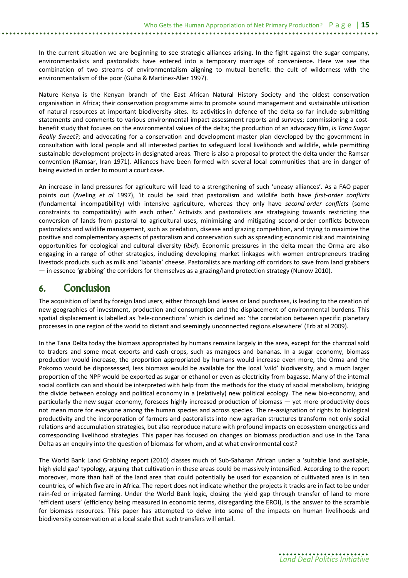In the current situation we are beginning to see strategic alliances arising. In the fight against the sugar company, environmentalists and pastoralists have entered into a temporary marriage of convenience. Here we see the combination of two streams of environmentalism aligning to mutual benefit: the cult of wilderness with the environmentalism of the poor (Guha & Martinez-Alier 1997).

Nature Kenya is the Kenyan branch of the East African Natural History Society and the oldest conservation organisation in Africa; their conservation programme aims to promote sound management and sustainable utilisation of natural resources at important biodiversity sites. Its activities in defence of the delta so far include submitting statements and comments to various environmental impact assessment reports and surveys; commissioning a costbenefit study that focuses on the environmental values of the delta; the production of an advocacy film, *Is Tana Sugar Really Sweet?*; and advocating for a conservation and development master plan developed by the government in consultation with local people and all interested parties to safeguard local livelihoods and wildlife, while permitting sustainable development projects in designated areas. There is also a proposal to protect the delta under the Ramsar convention (Ramsar, Iran 1971). Alliances have been formed with several local communities that are in danger of being evicted in order to mount a court case.

An increase in land pressures for agriculture will lead to a strengthening of such 'uneasy alliances'. As a FAO paper points out (Aveling *et al* 1997), 'it could be said that pastoralism and wildlife both have *first-order conflicts* (fundamental incompatibility) with intensive agriculture, whereas they only have *second-order conflicts* (some constraints to compatibility) with each other.' Activists and pastoralists are strategising towards restricting the conversion of lands from pastoral to agricultural uses, minimising and mitigating second-order conflicts between pastoralists and wildlife management, such as predation, disease and grazing competition, and trying to maximize the positive and complementary aspects of pastoralism and conservation such as spreading economic risk and maintaining opportunities for ecological and cultural diversity (*ibid*). Economic pressures in the delta mean the Orma are also engaging in a range of other strategies, including developing market linkages with women entrepreneurs trading livestock products such as milk and 'labania' cheese. Pastoralists are marking off corridors to save from land grabbers — in essence 'grabbing' the corridors for themselves as a grazing/land protection strategy (Nunow 2010).

# **6. Conclusion**

The acquisition of land by foreign land users, either through land leases or land purchases, is leading to the creation of new geographies of investment, production and consumption and the displacement of environmental burdens. This spatial displacement is labelled as 'tele-connections' which is defined as: 'the correlation between specific planetary processes in one region of the world to distant and seemingly unconnected regions elsewhere' (Erb at al 2009).

In the Tana Delta today the biomass appropriated by humans remains largely in the area, except for the charcoal sold to traders and some meat exports and cash crops, such as mangoes and bananas. In a sugar economy, biomass production would increase, the proportion appropriated by humans would increase even more, the Orma and the Pokomo would be dispossessed, less biomass would be available for the local 'wild' biodiversity, and a much larger proportion of the NPP would be exported as sugar or ethanol or even as electricity from bagasse. Many of the internal social conflicts can and should be interpreted with help from the methods for the study of social metabolism, bridging the divide between ecology and political economy in a (relatively) new political ecology. The new bio-economy, and particularly the new sugar economy, foresees highly increased production of biomass — yet more productivity does not mean more for everyone among the human species and across species. The re-assignation of rights to biological productivity and the incorporation of farmers and pastoralists into new agrarian structures transform not only social relations and accumulation strategies, but also reproduce nature with profound impacts on ecosystem energetics and corresponding livelihood strategies. This paper has focused on changes on biomass production and use in the Tana Delta as an enquiry into the question of biomass for whom, and at what environmental cost?

The World Bank Land Grabbing report (2010) classes much of Sub-Saharan African under a 'suitable land available, high yield gap' typology, arguing that cultivation in these areas could be massively intensified. According to the report moreover, more than half of the land area that could potentially be used for expansion of cultivated area is in ten countries, of which five are in Africa. The report does not indicate whether the projects it tracks are in fact to be under rain-fed or irrigated farming. Under the World Bank logic, closing the yield gap through transfer of land to more 'efficient users' (efficiency being measured in economic terms, disregarding the EROI), is the answer to the scramble for biomass resources. This paper has attempted to delve into some of the impacts on human livelihoods and biodiversity conservation at a local scale that such transfers will entail.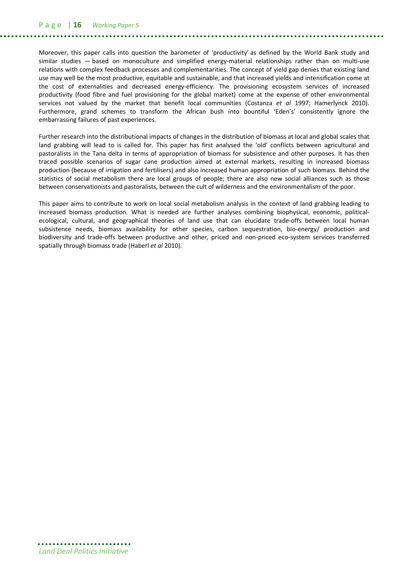Moreover, this paper calls into question the barometer of 'productivity' as defined by the World Bank study and similar studies — based on monoculture and simplified energy-material relationships rather than on multi-use relations with complex feedback processes and complementarities. The concept of yield gap denies that existing land use may well be the most productive, equitable and sustainable, and that increased yields and intensification come at the cost of externalities and decreased energy-efficiency. The provisioning ecosystem services of increased productivity (food fibre and fuel provisioning for the global market) come at the expense of other environmental services not valued by the market that benefit local communities (Costanza *et al* 1997; Hamerlynck 2010). Furthermore, grand schemes to transform the African bush into bountiful 'Eden's' consistently ignore the embarrassing failures of past experiences.

Further research into the distributional impacts of changes in the distribution of biomass at local and global scales that land grabbing will lead to is called for. This paper has first analysed the 'old' conflicts between agricultural and pastoralists in the Tana delta in terms of appropriation of biomass for subsistence and other purposes. It has then traced possible scenarios of sugar cane production aimed at external markets, resulting in increased biomass production (because of irrigation and fertilisers) and also increased human appropriation of such biomass. Behind the statistics of social metabolism there are local groups of people; there are also new social alliances such as those between conservationists and pastoralists, between the cult of wilderness and the environmentalism of the poor.

This paper aims to contribute to work on local social metabolism analysis in the context of land grabbing leading to increased biomass production. What is needed are further analyses combining biophysical, economic, politicalecological, cultural, and geographical theories of land use that can elucidate trade-offs between local human subsistence needs, biomass availability for other species, carbon sequestration, bio-energy/ production and biodiversity and trade-offs between productive and other, priced and non-priced eco-system services transferred spatially through biomass trade (Haberl *et al* 2010).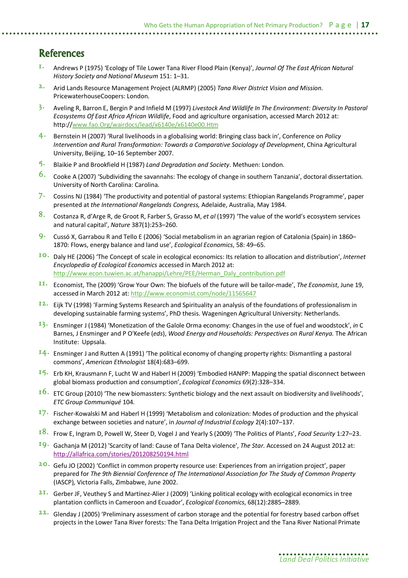# **References**

- **1.** Andrews P (1975) 'Ecology of Tile Lower Tana River Flood Plain (Kenya)', *Journal Of The East African Natural History Society and National Museum* 151: 1–31.
- **2.** Arid Lands Resource Management Project (ALRMP) (2005) *Tana River District Vision and Mission*. PricewaterhouseCoopers: London.
- **3.** Aveling R, Barron E, Bergin P and Infield M (1997) *Livestock And Wildlife In The Environment: Diversity In Pastoral Ecosystems Of East Africa African Wildlife*, Food and agriculture organisation, accessed March 2012 at: http://www.fao.Org/wairdocs/lead/x6140e/x6140e00.Htm
- **4.** Bernstein H (2007) 'Rural livelihoods in a globalising world: Bringing class back in', Conference on *Policy Intervention and Rural Transformation: Towards a Comparative Sociology of Development*, China Agricultural University, Beijing, 10–16 September 2007.
- **5.** Blaikie P and Brookfield H (1987) *Land Degradation and Society*. Methuen: London.
- **6.** Cooke A (2007) 'Subdividing the savannahs: The ecology of change in southern Tanzania', doctoral dissertation. University of North Carolina: Carolina.
- **7.** Cossins NJ (1984) 'The productivity and potential of pastoral systems: Ethiopian Rangelands Programme', paper presented at *the International Rangelands Congress,* Adelaide, Australia, May 1984.
- **8.** Costanza R, d'Arge R, de Groot R, Farber S, Grasso M, *et al* (1997) 'The value of the world's ecosystem services and natural capital', *Nature* 387(1):253–260.
- **9.** Cussó X, Garrabou R and Tello E (2006) 'Social metabolism in an agrarian region of Catalonia (Spain) in 1860– 1870: Flows, energy balance and land use', *Ecological Economics*, 58: 49–65.
- **10.** Daly HE (2006) 'The Concept of scale in ecological economics: Its relation to allocation and distribution', *Internet Encyclopedia of Ecological Economics* accessed in March 2012 at: http://www.econ.tuwien.ac.at/hanappi/Lehre/PEE/Herman\_Daly\_contribution.pdf
- **11.** Economist, The (2009) 'Grow Your Own: The biofuels of the future will be tailor-made', *The Economist*, June 19, accessed in March 2012 at: http://www.economist.com/node/11565647
- **12.** Eijk TV (1998) 'Farming Systems Research and Spirituality an analysis of the foundations of professionalism in developing sustainable farming systems', PhD thesis. Wageningen Agricultural University: Netherlands.
- **13.** Ensminger J (1984) 'Monetization of the Galole Orma economy: Changes in the use of fuel and woodstock', *in* C Barnes, J Ensminger and P O'Keefe (*eds*), *Wood Energy and Households: Perspectives on Rural Kenya.* The African Institute: Uppsala.
- **14.** Ensminger J and Rutten A (1991) 'The political economy of changing property rights: Dismantling a pastoral commons', *American Ethnologist* 18(4):683–699.
- **15.** Erb KH, Krausmann F, Lucht W and Haberl H (2009) 'Embodied HANPP: Mapping the spatial disconnect between global biomass production and consumption', *Ecological Economics* 69(2):328–334.
- **16.** ETC Group (2010) 'The new biomassters: Synthetic biology and the next assault on biodiversity and livelihoods', *ETC Group Communiqué* 104.
- **17.** Fischer‐Kowalski M and Haberl H (1999) 'Metabolism and colonization: Modes of production and the physical exchange between societies and nature', in *Journal of Industrial Ecology* 2(4):107–137.
- **18.** Frow E, Ingram D, Powell W, Steer D, Vogel J and Yearly S (2009) 'The Politics of Plants', *Food Security* 1:27–23.
- **19.** Gachanja M (2012) 'Scarcity of land: Cause of Tana Delta violence', *The Star.* Accessed on 24 August 2012 at: http://allafrica.com/stories/201208250194.html
- **20.** Gefu JO (2002) 'Conflict in common property resource use: Experiences from an irrigation project', paper prepared for *The 9th Biennial Conference of The International Association for The Study of Common Property*  (IASCP)*,* Victoria Falls, Zimbabwe, June 2002.
- **21.** Gerber JF, Veuthey S and Martínez-Alier J (2009) 'Linking political ecology with ecological economics in tree plantation conflicts in Cameroon and Ecuador', *Ecological Economics*, 68(12):2885–2889.
- **22.** Glenday J (2005) 'Preliminary assessment of carbon storage and the potential for forestry based carbon offset projects in the Lower Tana River forests: The Tana Delta Irrigation Project and the Tana River National Primate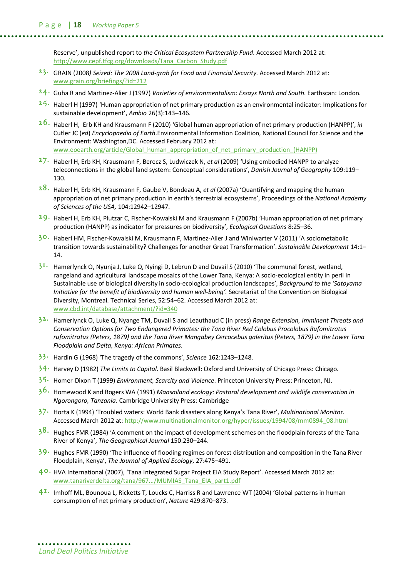Reserve', unpublished report to *the Critical Ecosystem Partnership Fund*. Accessed March 2012 at: http://www.cepf.tfcg.org/downloads/Tana\_Carbon\_Study.pdf

- **23.** GRAIN (2008*) Seized: The 2008 Land-grab for Food and Financial Security*. Accessed March 2012 at: www.grain.org/briefings/?id=212
- **24.** Guha R and Martinez-Alier J (1997) *Varieties of environmentalism: Essays North and South*. Earthscan: London.
- **25.** Haberl H (1997) 'Human appropriation of net primary production as an environmental indicator: Implications for sustainable development', *Ambio* 26(3):143–146.
- **26.** Haberl H, Erb KH and Krausmann F (2010) 'Global human appropriation of net primary production (HANPP)', *in* Cutler JC (*ed*) *Encyclopaedia of Earth*.Environmental Information Coalition, National Council for Science and the Environment: Washington,DC. Accessed February 2012 at: www.eoearth.org/article/Global\_human\_appropriation\_of\_net\_primary\_production\_(HANPP)
- **27.** Haberl H, Erb KH, Krausmann F, Berecz S, Ludwiczek N, *et al* (2009) 'Using embodied HANPP to analyze teleconnections in the global land system: Conceptual considerations', *Danish Journal of Geography* 109:119– 130.
- **28.** Haberl H, Erb KH, Krausmann F, Gaube V, Bondeau A, *et al* (2007a) 'Quantifying and mapping the human appropriation of net primary production in earth's terrestrial ecosystems', Proceedings of the *National Academy of Sciences of the USA,* 104:12942–12947.
- **29.** Haberl H, Erb KH, Plutzar C, Fischer-Kowalski M and Krausmann F (2007b) 'Human appropriation of net primary production (HANPP) as indicator for pressures on biodiversity', *Ecological Questions* 8:25–36.
- **30.** Haberl HM, Fischer-Kowalski M, Krausmann F, Martinez-Alier J and Winiwarter V (2011) 'A sociometabolic transition towards sustainability? Challenges for another Great Transformation'. *Sustainable Development* 14:1– 14.
- **31.** Hamerlynck O, Nyunja J, Luke Q, Nyingi D, Lebrun D and Duvail S (2010) 'The communal forest, wetland, rangeland and agricultural landscape mosaics of the Lower Tana, Kenya: A socio-ecological entity in peril in Sustainable use of biological diversity in socio-ecological production landscapes', *Background to the 'Satoyama Initiative for the benefit of biodiversity and human well-being'.* Secretariat of the Convention on Biological Diversity, Montreal. Technical Series, 52:54–62. Accessed March 2012 at: www.cbd.int/database/attachment/?id=340
- **32.** Hamerlynck O, Luke Q, Nyange TM, Duvail S and Leauthaud C (in press) *Range Extension, Imminent Threats and Conservation Options for Two Endangered Primates: the Tana River Red Colobus Procolobus Rufomitratus rufomitratus (Peters, 1879) and the Tana River Mangabey Cercocebus galeritus (Peters, 1879) in the Lower Tana Floodplain and Delta, Kenya: African Primates*.
- **33.** Hardin G (1968) 'The tragedy of the commons', *Science* 162:1243–1248.
- **34.** Harvey D (1982) *The Limits to Capital*. Basil Blackwell: Oxford and University of Chicago Press: Chicago.
- **35.** Homer-Dixon T (1999) *Environment, Scarcity and Violence*. Princeton University Press: Princeton, NJ.
- **36.** Homewood K and Rogers WA (1991) *Maasailand ecology: Pastoral development and wildlife conservation in Ngorongoro, Tanzania*. Cambridge University Press: Cambridge
- **37.** Horta K (1994) 'Troubled waters: World Bank disasters along Kenya's Tana River', *Multinational Monito*r. Accessed March 2012 at: http://www.multinationalmonitor.org/hyper/issues/1994/08/mm0894\_08.html
- **38.** Hughes FMR (1984) 'A comment on the impact of development schemes on the floodplain forests of the Tana River of Kenya', *The Geographical Journal* 150:230–244.
- **39.** Hughes FMR (1990) 'The influence of flooding regimes on forest distribution and composition in the Tana River Floodplain, Kenya', *The Journal of Applied Ecology*, 27:475–491.
- **40.** HVA International (2007), 'Tana Integrated Sugar Project EIA Study Report'. Accessed March 2012 at: www.tanariverdelta.org/tana/967.../MUMIAS\_Tana\_EIA\_part1.pdf
- **41.** Imhoff ML, Bounoua L, Ricketts T, Loucks C, Harriss R and Lawrence WT (2004) 'Global patterns in human consumption of net primary production', *Nature* 429:870–873.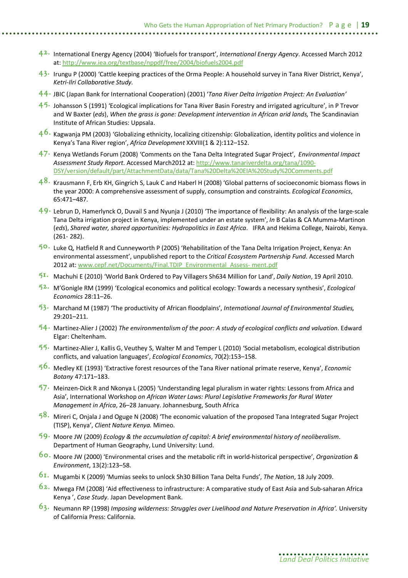- **42.** International Energy Agency (2004) 'Biofuels for transport', *International Energy Agency*. Accessed March 2012 at: http://www.iea.org/textbase/nppdf/free/2004/biofuels2004.pdf
- **43.** Irungu P (2000) 'Cattle keeping practices of the Orma People: A household survey in Tana River District, Kenya', *Ketri-Ilri Collaborative Study.*
- **44.** JBIC (Japan Bank for International Cooperation) (2001) '*Tana River Delta Irrigation Project: An Evaluation'*
- **45.** Johansson S (1991) 'Ecological implications for Tana River Basin Forestry and irrigated agriculture', in P Trevor and W Baxter (*eds*), *When the grass is gone: Development intervention in African arid lands,* The Scandinavian Institute of African Studies: Uppsala.
- **46.** Kagwanja PM (2003) 'Globalizing ethnicity, localizing citizenship: Globalization, identity politics and violence in Kenya's Tana River region', *Africa Development* XXVIII(1 & 2):112–152.
- **47.** Kenya Wetlands Forum (2008) 'Comments on the Tana Delta Integrated Sugar Project', *Environmental Impact Assessment Study Report*. Accessed March2012 at: http://www.tanariverdelta.org/tana/1090- DSY/version/default/part/AttachmentData/data/Tana%20Delta%20EIA%20Study%20Comments.pdf
- **48.** Krausmann F, Erb KH, Gingrich S, Lauk C and Haberl H (2008) 'Global patterns of socioeconomic biomass flows in the year 2000: A comprehensive assessment of supply, consumption and constraints. *Ecological Economics*, 65:471–487.
- **49.** Lebrun D, Hamerlynck O, Duvail S and Nyunja J (2010) 'The importance of flexibility: An analysis of the large‐scale Tana Delta irrigation project in Kenya, implemented under an estate system', *In* B Calas & CA Mumma-Martinon (*eds*), *Shared water, shared opportunities: Hydropolitics in East Africa*. IFRA and Hekima College, Nairobi, Kenya. (261‐ 282).
- **50.** Luke Q, Hatfield R and Cunneyworth P (2005) 'Rehabilitation of the Tana Delta Irrigation Project, Kenya: An environmental assessment', unpublished report to the *Critical Ecosystem Partnership Fund*. Accessed March 2012 at: www.cepf.net/Documents/Final.TDIP\_Environmental\_Assess- ment.pdf
- **51.** Machuhi E (2010) 'World Bank Ordered to Pay Villagers Sh634 Million for Land', *Daily Nation*, 19 April 2010.
- **52.** M'Gonigle RM (1999) 'Ecological economics and political ecology: Towards a necessary synthesis', *Ecological Economics* 28:11–26.
- **53.** Marchand M (1987) 'The productivity of African floodplains', *International Journal of Environmental Studies,* 29:201–211.
- **54.** Martinez-Alier J (2002) *The environmentalism of the poor: A study of ecological conflicts and valuation*. Edward Elgar: Cheltenham.
- **55.** Martinez-Alier J, Kallis G, Veuthey S, Walter M and Temper L (2010) 'Social metabolism, ecological distribution conflicts, and valuation languages', *Ecological Economics*, 70(2):153–158.
- **56.** Medley KE (1993) 'Extractive forest resources of the Tana River national primate reserve, Kenya', *Economic Botany* 47:171–183.
- **57.** Meinzen-Dick R and Nkonya L (2005) 'Understanding legal pluralism in water rights: Lessons from Africa and Asia', International Workshop *on African Water Laws: Plural Legislative Frameworks for Rural Water Management in Africa*, 26–28 January. Johannesburg, South Africa
- **58.** Mireri C, Onjala J and Oguge N (2008) 'The economic valuation of the proposed Tana Integrated Sugar Project (TISP), Kenya', *Client Nature Kenya.* Mimeo.
- **59.** Moore JW (2009) *Ecology & the accumulation of capital: A brief environmental history of neoliberalism*. Department of Human Geography, Lund University: Lund.
- **60.** Moore JW (2000) 'Environmental crises and the metabolic rift in world-historical perspective', *Organization & Environment*, 13(2):123–58.
- **61.** Mugambi K (2009) 'Mumias seeks to unlock Sh30 Billion Tana Delta Funds', *The Nation*, 18 July 2009.
- **62.** Mwega FM (2008) 'Aid effectiveness to infrastructure: A comparative study of East Asia and Sub-saharan Africa Kenya ', *Case Study*. Japan Development Bank.
- **63.** Neumann RP (1998) *Imposing wilderness: Struggles over Livelihood and Nature Preservation in Africa'.* University of California Press: California.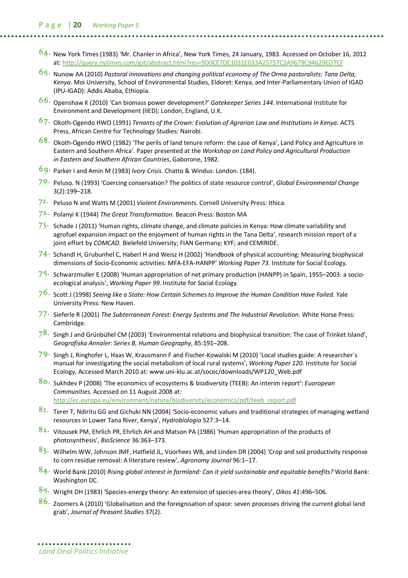- **64.** New York Times (1983) 'Mr. Chanler in Africa', New York Times, 24 January, 1983. Accessed on October 16, 2012 at: http://query.nytimes.com/gst/abstract.html?res=9D0CE7DE1031E033A25757C2A9679C94629ED7CF
- **65.** Nunow AA (2010) *Pastoral innovations and changing political economy of The Orma pastoralists: Tana Delta, Kenya*. Moi University, School of Environmental Studies, Eldoret: Kenya, and Inter-Parliamentary Union of IGAD (IPU-IGAD): Addis Ababa, Ethiopia.
- **66.** Openshaw K (2010) 'Can biomass power development?' *Gatekeeper Series 144.* International Institute for Environment and Development (IIED): London, England, U.K.
- **67.** Okoth-Ogendo HWO (1991) *Tenants of the Crown: Evolution of Agrarian Law and Institutions in Kenya.* ACTS Press, African Centre for Technology Studies: Nairobi.
- **68.** Okoth-Ogendo HWO (1982) 'The perils of land tenure reform: the case of Kenya', Land Policy and Agriculture in Eastern and Southern Africa'. Paper presented at the *Workshop on Land Policy and Agricultural Production in Eastern and Southern African Countries*, Gaborone, 1982.
- **69.** Parker I and Amin M (1983) *Ivory Crisis*. Chatto & Windus: London. (184).
- **70.** Peluso. N (1993) 'Coercing conservation? The politics of state resource control', *Global Environmental Change* 3(2):199–218.
- **71.** Peluso N and Watts M (2001) *Violent Environments*. Cornell University Press: Ithica.
- **72.** Polanyi K (1944) *The Great Transformation*. Beacon Press: Boston MA
- **73.** Schade J (2011) 'Human rights, climate change, and climate policies in Kenya: How climate variability and agrofuel expansion impact on the enjoyment of human rights in the Tana Delta', research mission report of a joint effort by *COMCAD.* Bielefeld University; FIAN Germany; KYF; and CEMIRIDE.
- **74.** Schandl H, Grubunhel C, Haberl H and Weisz H (2002) 'Handbook of physical accounting: Measuring biophysical dimensions of Socio-Economic activities: MFA-EFA-HANPP' *Working Paper 73*. Institute for Social Ecology.
- **75.** Schwarzmuller E (2008) 'Human appropriation of net primary production (HANPP) in Spain, 1955–2003: a socioecological analysis', *Working Paper 99*. Institute for Social Ecology.
- **76.** Scott J (1998) *Seeing like a State: How Certain Schemes to Improve the Human Condition Have Failed*. Yale University Press: New Haven.
- **77.** Sieferle R (2001) *The Subterranean Forest: Energy Systems and The Industrial Revolution.* White Horse Press: Cambridge.
- **78.** Singh J and Grünbühel CM (2003) 'Environmental relations and biophysical transition: The case of Trinket Island', *Geografiska Annaler: Series B, Human Geography*, 85:191–208.
- **79.** Singh J, Ringhofer L, Haas W, Krausmann F and Fischer-Kowalski M (2010) 'Local studies guide: A researcher´s manual for investigating the social metabolism of local rural systems', *Working Paper 120*. Institute for Social Ecology, Accessed March 2010 at: www.uni-klu.ac.at/socec/downloads/WP120\_Web.pdf
- **80.** Sukhdev P (2008) 'The economics of ecosystems & biodiversity (TEEB): An interim report': *Euoropean Communities*. Accessed on 11 August 2008 at: http://ec.europa.eu/environment/nature/biodiversity/economics/pdf/teeb\_report.pdf
- **81.** Terer T, Ndiritu GG and Gichuki NN (2004) 'Socio-economic values and traditional strategies of managing wetland resources in Lower Tana River, Kenya', *Hydrobiologia* 527:3–14.
- **82.** Vitousek PM, Ehrlich PR, Ehrlich AH and Matson PA (1986) 'Human appropriation of the products of photosynthesis', *BioScience* 36:363–373.
- **83.** Wilhelm WW, Johnson JMF, Hatfield JL, Voorhees WB, and Linden DR (2004) 'Crop and soil productivity response to corn residue removal: A literature review', *Agronomy Journal* 96:1–17.
- **84.** World Bank (2010) *Rising global interest in farmland: Can it yield sustainable and equitable benefits?* World Bank: Washington DC.
- **85.** Wright DH (1983) 'Species-energy theory: An extension of species-area theory', *Oikos 41*:496–506.
- **86.** Zoomers A (2010) 'Globalisation and the foreignisation of space: seven processes driving the current global land grab', *Journal of Peasant Studies* 37(2).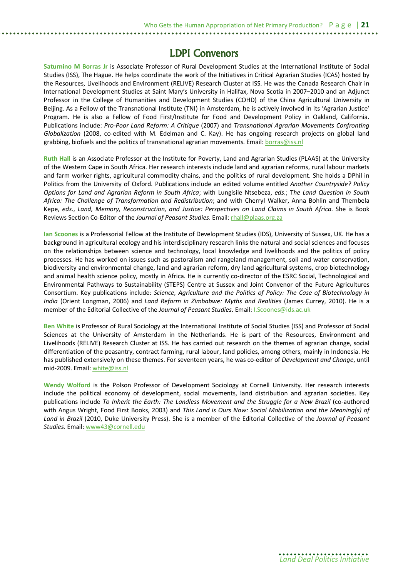### **LDPI Convenors**

**Saturnino M Borras Jr** is Associate Professor of Rural Development Studies at the International Institute of Social Studies (ISS), The Hague. He helps coordinate the work of the Initiatives in Critical Agrarian Studies (ICAS) hosted by the Resources, Livelihoods and Environment (RELIVE) Research Cluster at ISS. He was the Canada Research Chair in International Development Studies at Saint Mary's University in Halifax, Nova Scotia in 2007–2010 and an Adjunct Professor in the College of Humanities and Development Studies (COHD) of the China Agricultural University in Beijing. As a Fellow of the Transnational Institute (TNI) in Amsterdam, he is actively involved in its 'Agrarian Justice' Program. He is also a Fellow of Food First/Institute for Food and Development Policy in Oakland, California. Publications include: *Pro-Poor Land Reform: A Critique* (2007) and *Transnational Agrarian Movements Confronting Globalization* (2008, co-edited with M. Edelman and C. Kay). He has ongoing research projects on global land grabbing, biofuels and the politics of transnational agrarian movements. Email: borras@iss.nl

**Ruth Hall** is an Associate Professor at the Institute for Poverty, Land and Agrarian Studies (PLAAS) at the University of the Western Cape in South Africa. Her research interests include land and agrarian reforms, rural labour markets and farm worker rights, agricultural commodity chains, and the politics of rural development. She holds a DPhil in Politics from the University of Oxford. Publications include an edited volume entitled *Another Countryside? Policy Options for Land and Agrarian Reform in South Africa*; with Lungisile Ntsebeza, *eds*.; T*he Land Question in South Africa: The Challenge of Transformation and Redistribution*; and with Cherryl Walker, Anna Bohlin and Thembela Kepe, *eds*., *Land, Memory, Reconstruction, and Justice: Perspectives on Land Claims in South Africa*. She is Book Reviews Section Co-Editor of the *Journal of Peasant Studies*. Email: rhall@plaas.org.za

**Ian Scoones** is a Professorial Fellow at the Institute of Development Studies (IDS), University of Sussex, UK. He has a background in agricultural ecology and his interdisciplinary research links the natural and social sciences and focuses on the relationships between science and technology, local knowledge and livelihoods and the politics of policy processes. He has worked on issues such as pastoralism and rangeland management, soil and water conservation, biodiversity and environmental change, land and agrarian reform, dry land agricultural systems, crop biotechnology and animal health science policy, mostly in Africa. He is currently co-director of the ESRC Social, Technological and Environmental Pathways to Sustainability (STEPS) Centre at Sussex and Joint Convenor of the Future Agricultures Consortium. Key publications include: *Science, Agriculture and the Politics of Policy: The Case of Biotechnology in India* (Orient Longman, 2006) and *Land Reform in Zimbabwe: Myths and Realities* (James Currey, 2010). He is a member of the Editorial Collective of the *Journal of Peasant Studies*. Email: I.Scoones@ids.ac.uk

**Ben White** is Professor of Rural Sociology at the International Institute of Social Studies (ISS) and Professor of Social Sciences at the University of Amsterdam in the Netherlands. He is part of the Resources, Environment and Livelihoods (RELIVE) Research Cluster at ISS. He has carried out research on the themes of agrarian change, social differentiation of the peasantry, contract farming, rural labour, land policies, among others, mainly in Indonesia. He has published extensively on these themes. For seventeen years, he was co-editor of *Development and Change*, until mid-2009. Email: white@iss.nl

**Wendy Wolford** is the Polson Professor of Development Sociology at Cornell University. Her research interests include the political economy of development, social movements, land distribution and agrarian societies. Key publications include *To Inherit the Earth: The Landless Movement and the Struggle for a New Brazil* (co-authored with Angus Wright, Food First Books, 2003) and *This Land is Ours Now: Social Mobilization and the Meaning(s) of Land in Brazil* (2010, Duke University Press). She is a member of the Editorial Collective of the *Journal of Peasant Studies*. Email: www43@cornell.edu